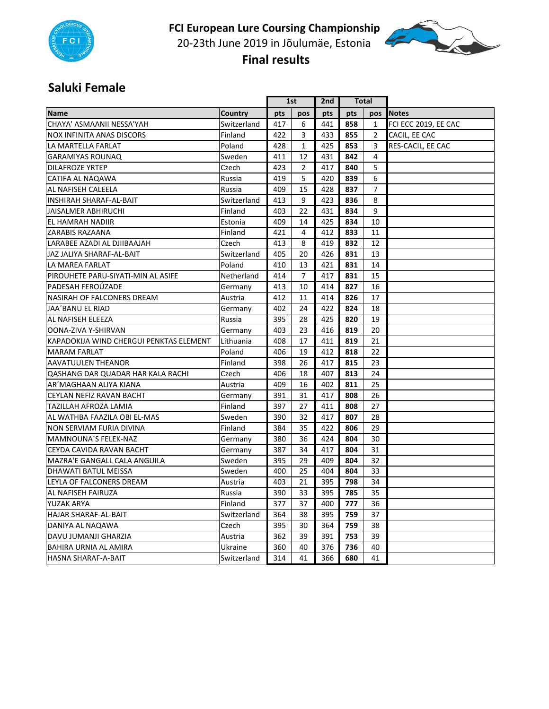

**FCI European Lure Coursing Championship**  20‐23th June 2019 in Jõulumäe, Estonia  **Final results** 



#### **Saluki Female**

|                                         |             |     | 1st            |     | Total |                |                      |
|-----------------------------------------|-------------|-----|----------------|-----|-------|----------------|----------------------|
| <b>Name</b>                             | Country     | pts | pos            | pts | pts   |                | pos Notes            |
| CHAYA' ASMAANII NESSA'YAH               | Switzerland | 417 | 6              | 441 | 858   | 1              | FCI ECC 2019, EE CAC |
| <b>NOX INFINITA ANAS DISCORS</b>        | Finland     | 422 | 3              | 433 | 855   | $\overline{2}$ | CACIL, EE CAC        |
| LA MARTELLA FARLAT                      | Poland      | 428 | $\mathbf{1}$   | 425 | 853   | 3              | RES-CACIL, EE CAC    |
| <b>GARAMIYAS ROUNAQ</b>                 | Sweden      | 411 | 12             | 431 | 842   | 4              |                      |
| <b>DILAFROZE YRTEP</b>                  | Czech       | 423 | $\overline{2}$ | 417 | 840   | 5              |                      |
| CATIFA AL NAQAWA                        | Russia      | 419 | 5              | 420 | 839   | 6              |                      |
| AL NAFISEH CALEELA                      | Russia      | 409 | 15             | 428 | 837   | $\overline{7}$ |                      |
| INSHIRAH SHARAF-AL-BAIT                 | Switzerland | 413 | 9              | 423 | 836   | 8              |                      |
| <b>JAISALMER ABHIRUCHI</b>              | Finland     | 403 | 22             | 431 | 834   | 9              |                      |
| EL HAMRAH NADIIR                        | Estonia     | 409 | 14             | 425 | 834   | 10             |                      |
| ZARABIS RAZAANA                         | Finland     | 421 | 4              | 412 | 833   | 11             |                      |
| LARABEE AZADI AL DJIIBAAJAH             | Czech       | 413 | 8              | 419 | 832   | 12             |                      |
| JAZ JALIYA SHARAF-AL-BAIT               | Switzerland | 405 | 20             | 426 | 831   | 13             |                      |
| LA MAREA FARLAT                         | Poland      | 410 | 13             | 421 | 831   | 14             |                      |
| PIROUHETE PARU-SIYATI-MIN AL ASIFE      | Netherland  | 414 | $\overline{7}$ | 417 | 831   | 15             |                      |
| PADESAH FEROÚZADE                       | Germany     | 413 | 10             | 414 | 827   | 16             |                      |
| NASIRAH OF FALCONERS DREAM              | Austria     | 412 | 11             | 414 | 826   | 17             |                      |
| <b>JAA'BANU EL RIAD</b>                 | Germany     | 402 | 24             | 422 | 824   | 18             |                      |
| <b>AL NAFISEH ELEEZA</b>                | Russia      | 395 | 28             | 425 | 820   | 19             |                      |
| OONA-ZIVA Y-SHIRVAN                     | Germany     | 403 | 23             | 416 | 819   | 20             |                      |
| KAPADOKIJA WIND CHERGUI PENKTAS ELEMENT | Lithuania   | 408 | 17             | 411 | 819   | 21             |                      |
| <b>MARAM FARLAT</b>                     | Poland      | 406 | 19             | 412 | 818   | 22             |                      |
| <b>AAVATUULEN THEANOR</b>               | Finland     | 398 | 26             | 417 | 815   | 23             |                      |
| QASHANG DAR QUADAR HAR KALA RACHI       | Czech       | 406 | 18             | 407 | 813   | 24             |                      |
| AR'MAGHAAN ALIYA KIANA                  | Austria     | 409 | 16             | 402 | 811   | 25             |                      |
| CEYLAN NEFIZ RAVAN BACHT                | Germany     | 391 | 31             | 417 | 808   | 26             |                      |
| TAZILLAH AFROZA LAMIA                   | Finland     | 397 | 27             | 411 | 808   | 27             |                      |
| AL WATHBA FAAZILA OBI EL-MAS            | Sweden      | 390 | 32             | 417 | 807   | 28             |                      |
| NON SERVIAM FURIA DIVINA                | Finland     | 384 | 35             | 422 | 806   | 29             |                      |
| <b>MAMNOUNA'S FELEK-NAZ</b>             | Germany     | 380 | 36             | 424 | 804   | 30             |                      |
| CEYDA CAVIDA RAVAN BACHT                | Germany     | 387 | 34             | 417 | 804   | 31             |                      |
| MAZRA'E GANGALL CALA ANGUILA            | Sweden      | 395 | 29             | 409 | 804   | 32             |                      |
| <b>DHAWATI BATUL MEISSA</b>             | Sweden      | 400 | 25             | 404 | 804   | 33             |                      |
| LEYLA OF FALCONERS DREAM                | Austria     | 403 | 21             | 395 | 798   | 34             |                      |
| AL NAFISEH FAIRUZA                      | Russia      | 390 | 33             | 395 | 785   | 35             |                      |
| <b>YUZAK ARYA</b>                       | Finland     | 377 | 37             | 400 | 777   | 36             |                      |
| HAJAR SHARAF-AL-BAIT                    | Switzerland | 364 | 38             | 395 | 759   | 37             |                      |
| DANIYA AL NAQAWA                        | Czech       | 395 | 30             | 364 | 759   | 38             |                      |
| DAVU JUMANJI GHARZIA                    | Austria     | 362 | 39             | 391 | 753   | 39             |                      |
| BAHIRA URNIA AL AMIRA                   | Ukraine     | 360 | 40             | 376 | 736   | 40             |                      |
| HASNA SHARAF-A-BAIT                     | Switzerland | 314 | 41             | 366 | 680   | 41             |                      |
|                                         |             |     |                |     |       |                |                      |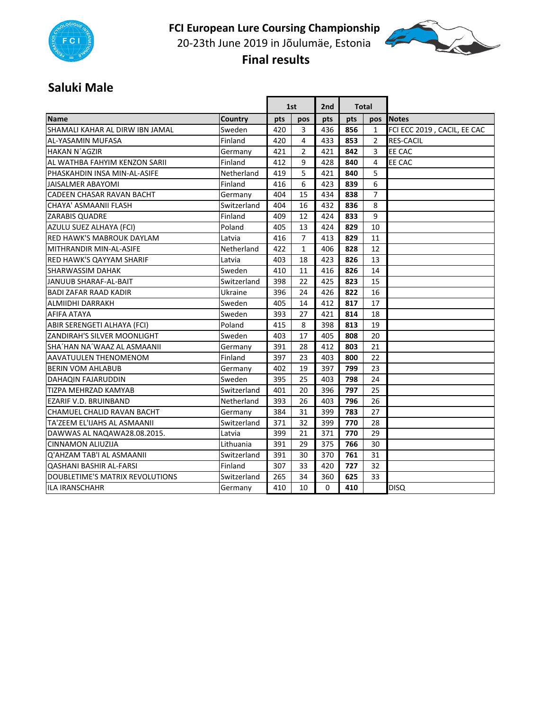

**FCI European Lure Coursing Championship**  20‐23th June 2019 in Jõulumäe, Estonia  **Final results** 



#### **Saluki Male**

|                                  |             |     | 1st            |     | <b>Total</b><br>2 <sub>nd</sub> |                |                             |
|----------------------------------|-------------|-----|----------------|-----|---------------------------------|----------------|-----------------------------|
| <b>Name</b>                      | Country     | pts | pos            | pts | pts                             | pos            | <b>Notes</b>                |
| SHAMALI KAHAR AL DIRW IBN JAMAL  | Sweden      | 420 | 3              | 436 | 856                             | $\mathbf{1}$   | FCI ECC 2019, CACIL, EE CAC |
| AL-YASAMIN MUFASA                | Finland     | 420 | 4              | 433 | 853                             | 2              | <b>RES-CACIL</b>            |
| <b>HAKAN N'AGZIR</b>             | Germany     | 421 | $\overline{2}$ | 421 | 842                             | 3              | EE CAC                      |
| AL WATHBA FAHYIM KENZON SARII    | Finland     | 412 | 9              | 428 | 840                             | 4              | EE CAC                      |
| PHASKAHDIN INSA MIN-AL-ASIFE     | Netherland  | 419 | 5              | 421 | 840                             | 5              |                             |
| <b>JAISALMER ABAYOMI</b>         | Finland     | 416 | 6              | 423 | 839                             | 6              |                             |
| CADEEN CHASAR RAVAN BACHT        | Germany     | 404 | 15             | 434 | 838                             | $\overline{7}$ |                             |
| CHAYA' ASMAANII FLASH            | Switzerland | 404 | 16             | 432 | 836                             | 8              |                             |
| <b>ZARABIS QUADRE</b>            | Finland     | 409 | 12             | 424 | 833                             | 9              |                             |
| <b>AZULU SUEZ ALHAYA (FCI)</b>   | Poland      | 405 | 13             | 424 | 829                             | 10             |                             |
| <b>RED HAWK'S MABROUK DAYLAM</b> | Latvia      | 416 | $\overline{7}$ | 413 | 829                             | 11             |                             |
| MITHRANDIR MIN-AL-ASIFE          | Netherland  | 422 | $\mathbf{1}$   | 406 | 828                             | 12             |                             |
| <b>RED HAWK'S QAYYAM SHARIF</b>  | Latvia      | 403 | 18             | 423 | 826                             | 13             |                             |
| <b>SHARWASSIM DAHAK</b>          | Sweden      | 410 | 11             | 416 | 826                             | 14             |                             |
| <b>JANUUB SHARAF-AL-BAIT</b>     | Switzerland | 398 | 22             | 425 | 823                             | 15             |                             |
| <b>BADI ZAFAR RAAD KADIR</b>     | Ukraine     | 396 | 24             | 426 | 822                             | 16             |                             |
| <b>ALMIIDHI DARRAKH</b>          | Sweden      | 405 | 14             | 412 | 817                             | 17             |                             |
| AFIFA ATAYA                      | Sweden      | 393 | 27             | 421 | 814                             | 18             |                             |
| ABIR SERENGETI ALHAYA (FCI)      | Poland      | 415 | 8              | 398 | 813                             | 19             |                             |
| ZANDIRAH'S SILVER MOONLIGHT      | Sweden      | 403 | 17             | 405 | 808                             | 20             |                             |
| SHA'HAN NA'WAAZ AL ASMAANII      | Germany     | 391 | 28             | 412 | 803                             | 21             |                             |
| AAVATUULEN THENOMENOM            | Finland     | 397 | 23             | 403 | 800                             | 22             |                             |
| <b>BERIN VOM AHLABUB</b>         | Germany     | 402 | 19             | 397 | 799                             | 23             |                             |
| <b>DAHAQIN FAJARUDDIN</b>        | Sweden      | 395 | 25             | 403 | 798                             | 24             |                             |
| TIZPA MEHRZAD KAMYAB             | Switzerland | 401 | 20             | 396 | 797                             | 25             |                             |
| EZARIF V.D. BRUINBAND            | Netherland  | 393 | 26             | 403 | 796                             | 26             |                             |
| CHAMUEL CHALID RAVAN BACHT       | Germany     | 384 | 31             | 399 | 783                             | 27             |                             |
| TA'ZEEM EL'IJAHS AL ASMAANII     | Switzerland | 371 | 32             | 399 | 770                             | 28             |                             |
| DAWWAS AL NAQAWA28.08.2015.      | Latvia      | 399 | 21             | 371 | 770                             | 29             |                             |
| <b>CINNAMON ALIUZIJA</b>         | Lithuania   | 391 | 29             | 375 | 766                             | 30             |                             |
| Q'AHZAM TAB'I AL ASMAANII        | Switzerland | 391 | 30             | 370 | 761                             | 31             |                             |
| <b>QASHANI BASHIR AL-FARSI</b>   | Finland     | 307 | 33             | 420 | 727                             | 32             |                             |
| DOUBLETIME'S MATRIX REVOLUTIONS  | Switzerland | 265 | 34             | 360 | 625                             | 33             |                             |
| ILA IRANSCHAHR                   | Germany     | 410 | 10             | 0   | 410                             |                | <b>DISQ</b>                 |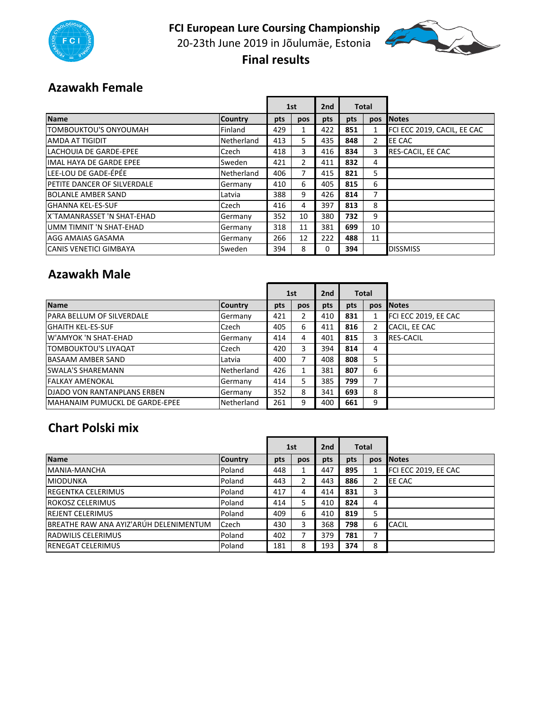

**FCI European Lure Coursing Championship**  20-23th June 2019 in Jõulumäe, Estonia  **Final results** 



#### **Azawakh Female**

|                                    |                | 1st |                | 2nd | <b>Total</b> |                |                             |
|------------------------------------|----------------|-----|----------------|-----|--------------|----------------|-----------------------------|
| Name                               | <b>Country</b> | pts | pos            | pts | pts          | <b>pos</b>     | <b>Notes</b>                |
| TOMBOUKTOU'S ONYOUMAH              | Finland        | 429 |                | 422 | 851          |                | FCI ECC 2019, CACIL, EE CAC |
| AMDA AT TIGIDIT                    | Netherland     | 413 | 5.             | 435 | 848          | $\overline{2}$ | EE CAC                      |
| <b>LACHOUIA DE GARDE-EPEE</b>      | Czech          | 418 | 3.             | 416 | 834          | 3              | RES-CACIL, EE CAC           |
| <b>IMAL HAYA DE GARDE EPEE</b>     | Sweden         | 421 | $\overline{2}$ | 411 | 832          | 4              |                             |
| <b>l</b> LEE-LOU DE GADE-ÉPÉE      | Netherland     | 406 | 7              | 415 | 821          | 5.             |                             |
| <b>PETITE DANCER OF SILVERDALE</b> | Germany        | 410 | 6              | 405 | 815          | 6              |                             |
| <b>BOLANLE AMBER SAND</b>          | Latvia         | 388 | 9              | 426 | 814          | $\overline{7}$ |                             |
| <b>GHANNA KEL-ES-SUF</b>           | Czech          | 416 | 4              | 397 | 813          | 8              |                             |
| X'TAMANRASSET 'N SHAT-EHAD         | Germany        | 352 | 10             | 380 | 732          | 9              |                             |
| UMM TIMNIT 'N SHAT-EHAD            | Germany        | 318 | 11             | 381 | 699          | 10             |                             |
| AGG AMAIAS GASAMA                  | Germany        | 266 | 12             | 222 | 488          | 11             |                             |
| <b>I</b> CANIS VENETICI GIMBAYA    | Sweden         | 394 | 8              | 0   | 394          |                | <b>DISSMISS</b>             |

#### **Azawakh Male**

|                                        |                | 1st |     | 2nd<br><b>Total</b> |     |            |                      |
|----------------------------------------|----------------|-----|-----|---------------------|-----|------------|----------------------|
| <b>Name</b>                            | <b>Country</b> | pts | pos | pts                 | pts | <b>DOS</b> | <b>Notes</b>         |
| <b>PARA BELLUM OF SILVERDALE</b>       | Germany        | 421 | 2   | 410                 | 831 |            | FCI ECC 2019, EE CAC |
| <b>IGHAITH KEL-ES-SUF</b>              | Czech          | 405 | 6   | 411                 | 816 | 2          | CACIL, EE CAC        |
| <b>W'AMYOK 'N SHAT-EHAD</b>            | Germany        | 414 | 4   | 401                 | 815 | 3          | <b>RES-CACIL</b>     |
| TOMBOUKTOU'S LIYAQAT                   | Czech          | 420 | 3   | 394                 | 814 | 4          |                      |
| <b>BASAAM AMBER SAND</b>               | Latvia         | 400 |     | 408                 | 808 | 5          |                      |
| <b>SWALA'S SHAREMANN</b>               | Netherland     | 426 |     | 381                 | 807 | 6          |                      |
| <b>FALKAY AMENOKAL</b>                 | Germany        | 414 | 5   | 385                 | 799 | ⇁          |                      |
| <b>DJADO VON RANTANPLANS ERBEN</b>     | Germany        | 352 | 8   | 341                 | 693 | 8          |                      |
| <b>IMAHANAIM PUMUCKL DE GARDE-EPEE</b> | Netherland     | 261 | 9   | 400                 | 661 | 9          |                      |

#### **Chart Polski mix**

|                                        |                | 1st |     | 2 <sub>nd</sub> | <b>Total</b> |     |                      |
|----------------------------------------|----------------|-----|-----|-----------------|--------------|-----|----------------------|
| <b>Name</b>                            | <b>Country</b> | pts | pos | pts             | pts          | pos | <b>Notes</b>         |
| <b>IMANIA-MANCHA</b>                   | Poland         | 448 |     | 447             | 895          |     | FCI ECC 2019, EE CAC |
| MIODUNKA                               | Poland         | 443 |     | 443             | 886          |     | <b>EE CAC</b>        |
| <b>IREGENTKA CELERIMUS</b>             | Poland         | 417 | 4   | 414             | 831          | 3   |                      |
| <b>ROKOSZ CELERIMUS</b>                | Poland         | 414 | 5   | 410             | 824          | 4   |                      |
| <b>REJENT CELERIMUS</b>                | Poland         | 409 | 6   | 410             | 819          | 5   |                      |
| BREATHE RAW ANA AYIZ'ARÚH DELENIMENTUM | Czech          | 430 | 3   | 368             | 798          | 6   | <b>CACIL</b>         |
| <b>RADWILIS CELERIMUS</b>              | Poland         | 402 |     | 379             | 781          |     |                      |
| <b>IRENEGAT CELERIMUS</b>              | Poland         | 181 | 8   | 193             | 374          | 8   |                      |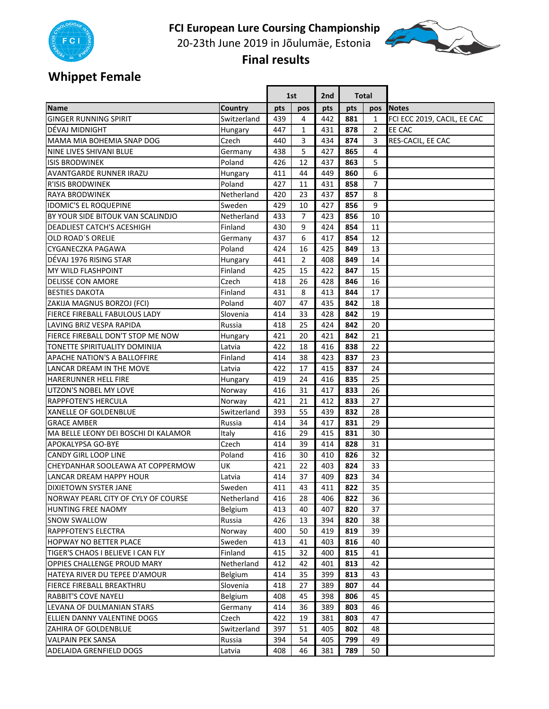

20‐23th June 2019 in Jõulumäe, Estonia



 **Final results** 

# **Whippet Female**

|                                      |                | 1st |                | 2nd | <b>Total</b> |              |                             |
|--------------------------------------|----------------|-----|----------------|-----|--------------|--------------|-----------------------------|
| Name                                 | <b>Country</b> | pts | pos            | pts | pts          | pos          | <b>Notes</b>                |
| <b>GINGER RUNNING SPIRIT</b>         | Switzerland    | 439 | 4              | 442 | 881          | $\mathbf{1}$ | FCI ECC 2019, CACIL, EE CAC |
| DÉVAJ MIDNIGHT                       | Hungary        | 447 | 1              | 431 | 878          | 2            | EE CAC                      |
| MAMA MIA BOHEMIA SNAP DOG            | Czech          | 440 | 3              | 434 | 874          | 3            | RES-CACIL, EE CAC           |
| NINE LIVES SHIVANI BLUE              | Germany        | 438 | 5              | 427 | 865          | 4            |                             |
| <b>ISIS BRODWINEK</b>                | Poland         | 426 | 12             | 437 | 863          | 5            |                             |
| <b>AVANTGARDE RUNNER IRAZU</b>       | Hungary        | 411 | 44             | 449 | 860          | 6            |                             |
| <b>R'ISIS BRODWINEK</b>              | Poland         | 427 | 11             | 431 | 858          | 7            |                             |
| <b>RAYA BRODWINEK</b>                | Netherland     | 420 | 23             | 437 | 857          | 8            |                             |
| <b>IDOMIC'S EL ROQUEPINE</b>         | Sweden         | 429 | 10             | 427 | 856          | 9            |                             |
| BY YOUR SIDE BITOUK VAN SCALINDJO    | Netherland     | 433 | 7              | 423 | 856          | 10           |                             |
| <b>DEADLIEST CATCH'S ACESHIGH</b>    | Finland        | 430 | 9              | 424 | 854          | 11           |                             |
| OLD ROAD'S ORELIE                    | Germany        | 437 | 6              | 417 | 854          | 12           |                             |
| CYGANECZKA PAGAWA                    | Poland         | 424 | 16             | 425 | 849          | 13           |                             |
| DÉVAJ 1976 RISING STAR               | Hungary        | 441 | $\overline{2}$ | 408 | 849          | 14           |                             |
| <b>MY WILD FLASHPOINT</b>            | Finland        | 425 | 15             | 422 | 847          | 15           |                             |
| <b>DELISSE CON AMORE</b>             | Czech          | 418 | 26             | 428 | 846          | 16           |                             |
| <b>BESTIES DAKOTA</b>                | Finland        | 431 | 8              | 413 | 844          | 17           |                             |
| ZAKIJA MAGNUS BORZOJ (FCI)           | Poland         | 407 | 47             | 435 | 842          | 18           |                             |
| FIERCE FIREBALL FABULOUS LADY        | Slovenia       | 414 | 33             | 428 | 842          | 19           |                             |
| LAVING BRIZ VESPA RAPIDA             | Russia         | 418 | 25             | 424 | 842          | 20           |                             |
| FIERCE FIREBALL DON'T STOP ME NOW    | Hungary        | 421 | 20             | 421 | 842          | 21           |                             |
| TONETTE SPIRITUALITY DOMINIJA        | Latvia         | 422 | 18             | 416 | 838          | 22           |                             |
| APACHE NATION'S A BALLOFFIRE         | Finland        | 414 | 38             | 423 | 837          | 23           |                             |
| LANCAR DREAM IN THE MOVE             | Latvia         | 422 | 17             | 415 | 837          | 24           |                             |
| <b>HARERUNNER HELL FIRE</b>          | Hungary        | 419 | 24             | 416 | 835          | 25           |                             |
| UTZON'S NOBEL MY LOVE                | Norway         | 416 | 31             | 417 | 833          | 26           |                             |
| <b>RAPPFOTEN'S HERCULA</b>           | Norway         | 421 | 21             | 412 | 833          | 27           |                             |
| <b>XANELLE OF GOLDENBLUE</b>         | Switzerland    | 393 | 55             | 439 | 832          | 28           |                             |
| <b>GRACE AMBER</b>                   | Russia         | 414 | 34             | 417 | 831          | 29           |                             |
| MA BELLE LEONY DEI BOSCHI DI KALAMOR | Italy          | 416 | 29             | 415 | 831          | 30           |                             |
| <b>APOKALYPSA GO-BYE</b>             | Czech          | 414 | 39             | 414 | 828          | 31           |                             |
| <b>CANDY GIRL LOOP LINE</b>          | Poland         | 416 | 30             | 410 | 826          | 32           |                             |
| CHEYDANHAR SOOLEAWA AT COPPERMOW     | UK             | 421 | 22             | 403 | 824          | 33           |                             |
| <b>LANCAR DREAM HAPPY HOUR</b>       | Latvia         | 414 | 37             | 409 | 823          | 34           |                             |
| <b>DIXIETOWN SYSTER JANE</b>         | Sweden         | 411 | 43             | 411 | 822          | 35           |                             |
| NORWAY PEARL CITY OF CYLY OF COURSE  | Netherland     | 416 | 28             | 406 | 822          | 36           |                             |
| HUNTING FREE NAOMY                   | Belgium        | 413 | 40             | 407 | 820          | 37           |                             |
| <b>SNOW SWALLOW</b>                  | Russia         | 426 | 13             | 394 | 820          | 38           |                             |
| RAPPFOTEN'S ELECTRA                  | Norway         | 400 | 50             | 419 | 819          | 39           |                             |
| HOPWAY NO BETTER PLACE               | Sweden         | 413 | 41             | 403 | 816          | 40           |                             |
| TIGER'S CHAOS I BELIEVE I CAN FLY    | Finland        | 415 | 32             | 400 | 815          | 41           |                             |
| OPPIES CHALLENGE PROUD MARY          | Netherland     | 412 | 42             | 401 | 813          | 42           |                             |
| HATEYA RIVER DU TEPEE D'AMOUR        | Belgium        | 414 | 35             | 399 | 813          | 43           |                             |
| FIERCE FIREBALL BREAKTHRU            | Slovenia       | 418 | 27             | 389 | 807          | 44           |                             |
| RABBIT'S COVE NAYELI                 | <b>Belgium</b> | 408 | 45             | 398 | 806          | 45           |                             |
| LEVANA OF DULMANIAN STARS            | Germany        | 414 | 36             | 389 | 803          | 46           |                             |
| ELLIEN DANNY VALENTINE DOGS          | Czech          | 422 | 19             | 381 | 803          | 47           |                             |
| ZAHIRA OF GOLDENBLUE                 | Switzerland    | 397 | 51             | 405 | 802          | 48           |                             |
| <b>VALPAIN PEK SANSA</b>             | Russia         | 394 | 54             | 405 | 799          | 49           |                             |
| ADELAIDA GRENFIELD DOGS              | Latvia         | 408 | 46             | 381 | 789          | 50           |                             |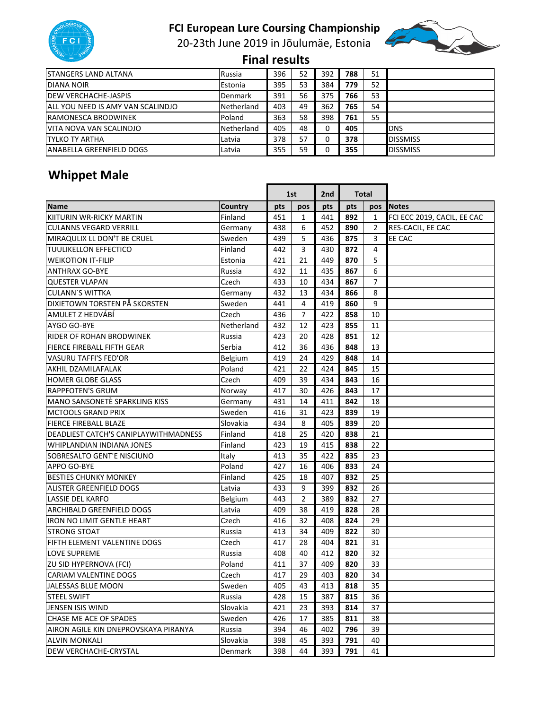

20‐23th June 2019 in Jõulumäe, Estonia



 **Final results** 

| <b>ISTANGERS LAND ALTANA</b>      | Russia         | 396 | 52 | 392 | 788 | 51 |                 |
|-----------------------------------|----------------|-----|----|-----|-----|----|-----------------|
| DIANA NOIR                        | Estonia        | 395 | 53 | 384 | 779 | 52 |                 |
| <b>IDEW VERCHACHE-JASPIS</b>      | <b>Denmark</b> | 391 | 56 | 375 | 766 | 53 |                 |
| ALL YOU NEED IS AMY VAN SCALINDJO | Netherland     | 403 | 49 | 362 | 765 | 54 |                 |
| <b>RAMONESCA BRODWINEK</b>        | Poland         | 363 | 58 | 398 | 761 | 55 |                 |
| VITA NOVA VAN SCALINDJO           | Netherland     | 405 | 48 |     | 405 |    | <b>DNS</b>      |
| <b>ITYLKO TY ARTHA</b>            | Latvia         | 378 | 57 |     | 378 |    | <b>DISSMISS</b> |
| <b>ANABELLA GREENFIELD DOGS</b>   | Latvia         | 355 | 59 |     | 355 |    | <b>DISSMISS</b> |

# **Whippet Male**

|                                       |            |     | 1st            |     | <b>Total</b><br>2nd |     |                             |
|---------------------------------------|------------|-----|----------------|-----|---------------------|-----|-----------------------------|
| <b>Name</b>                           | Country    | pts | pos            | pts | pts                 | pos | <b>Notes</b>                |
| KIITURIN WR-RICKY MARTIN              | Finland    | 451 | $\mathbf{1}$   | 441 | 892                 | 1   | FCI ECC 2019, CACIL, EE CAC |
| <b>CULANNS VEGARD VERRILL</b>         | Germany    | 438 | 6              | 452 | 890                 | 2   | RES-CACIL, EE CAC           |
| MIRAQULIX LL DON'T BE CRUEL           | Sweden     | 439 | 5              | 436 | 875                 | 3   | EE CAC                      |
| <b>TUULIKELLON EFFECTICO</b>          | Finland    | 442 | 3              | 430 | 872                 | 4   |                             |
| <b>WEIKOTION IT-FILIP</b>             | Estonia    | 421 | 21             | 449 | 870                 | 5   |                             |
| <b>ANTHRAX GO-BYE</b>                 | Russia     | 432 | 11             | 435 | 867                 | 6   |                             |
| <b>QUESTER VLAPAN</b>                 | Czech      | 433 | 10             | 434 | 867                 | 7   |                             |
| <b>CULANN'S WITTKA</b>                | Germany    | 432 | 13             | 434 | 866                 | 8   |                             |
| DIXIETOWN TORSTEN PÅ SKORSTEN         | Sweden     | 441 | 4              | 419 | 860                 | 9   |                             |
| AMULET Z HEDVÁBÍ                      | Czech      | 436 | 7              | 422 | 858                 | 10  |                             |
| AYGO GO-BYE                           | Netherland | 432 | 12             | 423 | 855                 | 11  |                             |
| RIDER OF ROHAN BRODWINEK              | Russia     | 423 | 20             | 428 | 851                 | 12  |                             |
| FIERCE FIREBALL FIFTH GEAR            | Serbia     | 412 | 36             | 436 | 848                 | 13  |                             |
| <b>VASURU TAFFI'S FED'OR</b>          | Belgium    | 419 | 24             | 429 | 848                 | 14  |                             |
| AKHIL DZAMILAFALAK                    | Poland     | 421 | 22             | 424 | 845                 | 15  |                             |
| <b>HOMER GLOBE GLASS</b>              | Czech      | 409 | 39             | 434 | 843                 | 16  |                             |
| <b>RAPPFOTEN'S GRUM</b>               | Norway     | 417 | 30             | 426 | 843                 | 17  |                             |
| MANO SANSONETÈ SPARKLING KISS         | Germany    | 431 | 14             | 411 | 842                 | 18  |                             |
| <b>MCTOOLS GRAND PRIX</b>             | Sweden     | 416 | 31             | 423 | 839                 | 19  |                             |
| <b>FIERCE FIREBALL BLAZE</b>          | Slovakia   | 434 | 8              | 405 | 839                 | 20  |                             |
| DEADLIEST CATCH'S CANIPLAYWITHMADNESS | Finland    | 418 | 25             | 420 | 838                 | 21  |                             |
| WHIPLANDIAN INDIANA JONES             | Finland    | 423 | 19             | 415 | 838                 | 22  |                             |
| SOBRESALTO GENT'E NISCIUNO            | Italy      | 413 | 35             | 422 | 835                 | 23  |                             |
| <b>APPO GO-BYE</b>                    | Poland     | 427 | 16             | 406 | 833                 | 24  |                             |
| <b>BESTIES CHUNKY MONKEY</b>          | Finland    | 425 | 18             | 407 | 832                 | 25  |                             |
| <b>ALISTER GREENFIELD DOGS</b>        | Latvia     | 433 | 9              | 399 | 832                 | 26  |                             |
| <b>LASSIE DEL KARFO</b>               | Belgium    | 443 | $\overline{2}$ | 389 | 832                 | 27  |                             |
| <b>ARCHIBALD GREENFIELD DOGS</b>      | Latvia     | 409 | 38             | 419 | 828                 | 28  |                             |
| <b>IRON NO LIMIT GENTLE HEART</b>     | Czech      | 416 | 32             | 408 | 824                 | 29  |                             |
| <b>STRONG STOAT</b>                   | Russia     | 413 | 34             | 409 | 822                 | 30  |                             |
| FIFTH ELEMENT VALENTINE DOGS          | Czech      | 417 | 28             | 404 | 821                 | 31  |                             |
| <b>LOVE SUPREME</b>                   | Russia     | 408 | 40             | 412 | 820                 | 32  |                             |
| ZU SID HYPERNOVA (FCI)                | Poland     | 411 | 37             | 409 | 820                 | 33  |                             |
| <b>CARIAM VALENTINE DOGS</b>          | Czech      | 417 | 29             | 403 | 820                 | 34  |                             |
| JALESSAS BLUE MOON                    | Sweden     | 405 | 43             | 413 | 818                 | 35  |                             |
| <b>STEEL SWIFT</b>                    | Russia     | 428 | 15             | 387 | 815                 | 36  |                             |
| JENSEN ISIS WIND                      | Slovakia   | 421 | 23             | 393 | 814                 | 37  |                             |
| CHASE ME ACE OF SPADES                | Sweden     | 426 | 17             | 385 | 811                 | 38  |                             |
| AIRON AGILE KIN DNEPROVSKAYA PIRANYA  | Russia     | 394 | 46             | 402 | 796                 | 39  |                             |
| <b>ALVIN MONKALI</b>                  | Slovakia   | 398 | 45             | 393 | 791                 | 40  |                             |
| DEW VERCHACHE-CRYSTAL                 | Denmark    | 398 | 44             | 393 | 791                 | 41  |                             |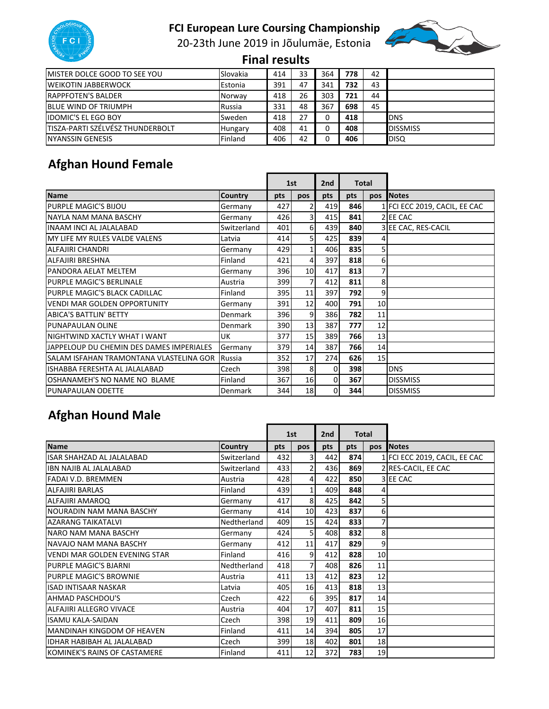

20‐23th June 2019 in Jõulumäe, Estonia



 **Final results** 

| <b>IMISTER DOLCE GOOD TO SEE YOU</b>    | Slovakia       | 414 | 33 | 364 | 778 | 42 |                 |
|-----------------------------------------|----------------|-----|----|-----|-----|----|-----------------|
| <b>WEIKOTIN JABBERWOCK</b>              | Estonia        | 391 | 47 | 341 | 732 | 43 |                 |
| <b>IRAPPFOTEN'S BALDER</b>              | Norway         | 418 | 26 | 303 | 721 | 44 |                 |
| <b>BLUE WIND OF TRIUMPH</b>             | Russia         | 331 | 48 | 367 | 698 | 45 |                 |
| <b>IDOMIC'S EL EGO BOY</b>              | Sweden         | 418 |    |     | 418 |    | IDNS            |
| <b>TISZA-PARTI SZÉLVÉSZ THUNDERBOLT</b> | <b>Hungary</b> | 408 | 41 |     | 408 |    | <b>DISSMISS</b> |
| <b>INYANSSIN GENESIS</b>                | Finland        | 406 | 42 |     | 406 |    | <b>DISO</b>     |

# **Afghan Hound Female**

|                                          |                |     | 1st             |          | 2 <sub>nd</sub> |                 | <b>Total</b>                  |  |  |
|------------------------------------------|----------------|-----|-----------------|----------|-----------------|-----------------|-------------------------------|--|--|
| <b>Name</b>                              | <b>Country</b> | pts | pos             | pts      | pts             | pos             | <b>Notes</b>                  |  |  |
| <b>PURPLE MAGIC'S BIJOU</b>              | Germany        | 427 | $\overline{2}$  | 419      | 846             |                 | 1 FCI ECC 2019, CACIL, EE CAC |  |  |
| NAYI A NAM MANA BASCHY                   | Germany        | 426 | 31              | 415      | 841             |                 | 2 EE CAC                      |  |  |
| <b>INAAM INCI AL JALALABAD</b>           | Switzerland    | 401 | $6 \mid$        | 439      | 840             |                 | 3 EE CAC, RES-CACIL           |  |  |
| MY LIFE MY RULES VALDE VALENS            | Latvia         | 414 | 5 <sub>l</sub>  | 425      | 839             | 4               |                               |  |  |
| ALFAJIRI CHANDRI                         | Germany        | 429 | 1 <sup>1</sup>  | 406      | 835             | 51              |                               |  |  |
| <b>ALFAJIRI BRESHNA</b>                  | Finland        | 421 | $\overline{4}$  | 397      | 818             | 6               |                               |  |  |
| PANDORA AELAT MELTEM                     | Germany        | 396 | 10 <sup>1</sup> | 417      | 813             | $\overline{7}$  |                               |  |  |
| PURPLE MAGIC'S BERLINALE                 | Austria        | 399 | $\overline{7}$  | 412      | 811             | 8               |                               |  |  |
| PURPLE MAGIC'S BLACK CADILLAC            | Finland        | 395 | 11              | 397      | 792             | 9               |                               |  |  |
| VENDI MAR GOLDEN OPPORTUNITY             | Germany        | 391 | 12              | 400      | 791             | 10              |                               |  |  |
| <b>ABICA'S BATTLIN' BETTY</b>            | Denmark        | 396 | $\overline{9}$  | 386      | 782             | 11              |                               |  |  |
| PUNAPAULAN OLINE                         | Denmark        | 390 | 13              | 387      | 777             | 12              |                               |  |  |
| NIGHTWIND XACTLY WHAT I WANT             | <b>UK</b>      | 377 | 15              | 389      | 766             | 13              |                               |  |  |
| JAPPELOUP DU CHEMIN DES DAMES IMPERIALES | Germany        | 379 | 14              | 387      | <b>766</b>      | 14              |                               |  |  |
| SALAM ISFAHAN TRAMONTANA VLASTELINA GOR  | Russia         | 352 | 17              | 274      | 626             | 15 <sub>l</sub> |                               |  |  |
| ISHABBA FERESHTA AL JALALABAD            | Czech          | 398 | 8               | $\Omega$ | 398             |                 | <b>DNS</b>                    |  |  |
| OSHANAMEH'S NO NAME NO BLAME             | Finland        | 367 | 16              | $\Omega$ | 367             |                 | <b>DISSMISS</b>               |  |  |
| <b>PUNAPAULAN ODETTE</b>                 | Denmark        | 344 | 18              | $\Omega$ | 344             |                 | <b>DISSMISS</b>               |  |  |

# **Afghan Hound Male**

|                                   |                |      | 1st                     | 2nd | <b>Total</b> |          |                               |
|-----------------------------------|----------------|------|-------------------------|-----|--------------|----------|-------------------------------|
| <b>Name</b>                       | <b>Country</b> | pts  | <b>DOS</b>              | pts | pts          | pos      | <b>Notes</b>                  |
| <b>ISAR SHAHZAD AL JALALABAD</b>  | Switzerland    | 432  | $\overline{\mathbf{3}}$ | 442 | 874l         |          | 1 FCI ECC 2019, CACIL, EE CAC |
| IBN NAJIB AL JALALABAD            | Switzerland    | 4331 | $\overline{2}$          | 436 | 869          |          | 2 RES-CACIL, EE CAC           |
| <b>FADAI V.D. BREMMEN</b>         | Austria        | 428  | $\overline{4}$          | 422 | 850          |          | 3 EE CAC                      |
| <b>ALFAJIRI BARLAS</b>            | Finland        | 439  | $1\vert$                | 409 | 848          | 4        |                               |
| ALFAJIRI AMAROQ                   | Germany        | 417  | 8                       | 425 | 842          | 5        |                               |
| INOURADIN NAM MANA BASCHY         | Germany        | 414  | 10 <sup>1</sup>         | 423 | 837          | $6 \mid$ |                               |
| <b>AZARANG TAIKATALVI</b>         | Nedtherland    | 409  | 15                      | 424 | 833          | 7        |                               |
| NARO NAM MANA BASCHY              | Germany        | 424  | 5 <sub>l</sub>          | 408 | 832          | 8        |                               |
| NAVAJO NAM MANA BASCHY            | Germany        | 412  | 11                      | 417 | 829          | 9        |                               |
| VENDI MAR GOLDEN EVENING STAR     | Finland        | 416  | $\overline{9}$          | 412 | 828          | 10       |                               |
| <b>PURPLE MAGIC'S BJARNI</b>      | Nedtherland    | 418  | $\overline{7}$          | 408 | 826          | 11       |                               |
| PURPLE MAGIC'S BROWNIE            | Austria        | 411  | 13                      | 412 | 823          | 12       |                               |
| <b>ISAD INTISAAR NASKAR</b>       | Latvia         | 405  | 16                      | 413 | 818          | 13       |                               |
| <b>AHMAD PASCHDOU'S</b>           | Czech          | 422  | $6 \mid$                | 395 | 817          | 14       |                               |
| ALFAJIRI ALLEGRO VIVACE           | Austria        | 404  | 17                      | 407 | 811          | 15       |                               |
| <b>ISAMU KALA-SAIDAN</b>          | Czech          | 398  | 19                      | 411 | 809          | 16       |                               |
| MANDINAH KINGDOM OF HEAVEN        | Finland        | 411  | 14                      | 394 | 805          | 17       |                               |
| <b>IDHAR HABIBAH AL JALALABAD</b> | Czech          | 399  | 18 <sup>1</sup>         | 402 | 801          | 18       |                               |
| KOMINEK'S RAINS OF CASTAMERE      | Finland        | 411  | 12                      | 372 | <b>7831</b>  | 19       |                               |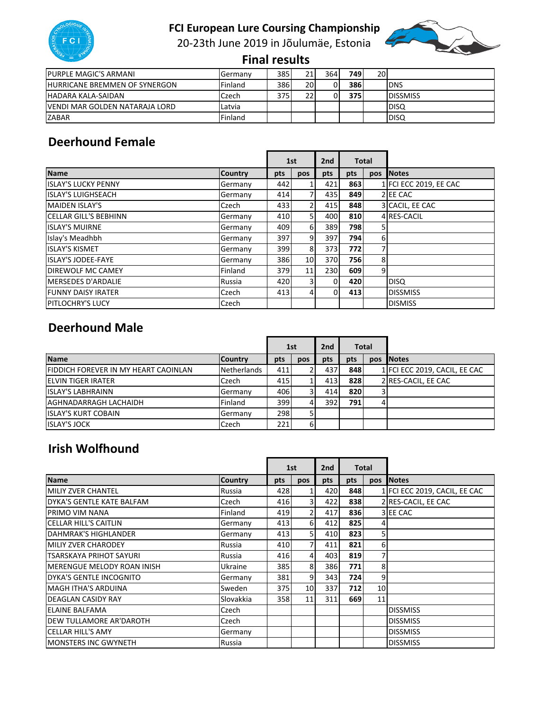20-23th June 2019 in Jõulumäe, Estonia



 **Final results** 

| <b>PURPLE MAGIC'S ARMANI</b>         | Germany | 385  | 211 | 364 | <b>749</b> | 20I |                  |
|--------------------------------------|---------|------|-----|-----|------------|-----|------------------|
| <b>HURRICANE BREMMEN OF SYNERGON</b> | Finland | 386  | 20I | 0   | 386        |     | <b>IDNS</b>      |
| <b>IHADARA KALA-SAIDAN</b>           | Czech   | 3751 | 22  | ΟI  | <b>375</b> |     | <b>IDISSMISS</b> |
| IVENDI MAR GOLDEN NATARAJA LORD      | Latvia  |      |     |     |            |     | <b>IDISQ</b>     |
| <b>ZABAR</b>                         | Finland |      |     |     |            |     | <b>IDISQ</b>     |

#### **Deerhound Female**

|                              |                |     | 1st                     | 2nd      |            | <b>Total</b>   |                        |
|------------------------------|----------------|-----|-------------------------|----------|------------|----------------|------------------------|
| <b>Name</b>                  | <b>Country</b> | pts | pos                     | pts      | pts        | pos            | <b>Notes</b>           |
| <b>ISLAY'S LUCKY PENNY</b>   | Germany        | 442 |                         | 421      | 863        |                | 1 FCI ECC 2019, EE CAC |
| <b>ISLAY'S LUIGHSEACH</b>    | Germany        | 414 | 71                      | 435      | 849        |                | 2 EE CAC               |
| <b>MAIDEN ISLAY'S</b>        | Czech          | 433 | $\overline{2}$          | 415      | 848        |                | 3 CACIL, EE CAC        |
| <b>CELLAR GILL'S BEBHINN</b> | Germany        | 410 | 5 <sub>l</sub>          | 400      | 810        |                | 4 RES-CACIL            |
| <b>ISLAY'S MUIRNE</b>        | Germany        | 409 | $6 \mid$                | 389      | <b>798</b> | 51             |                        |
| Islay's Meadhbh              | Germany        | 397 | $\overline{9}$          | 397      | 794        | 6              |                        |
| <b>ISLAY'S KISMET</b>        | Germany        | 399 | 8                       | 373      | <b>772</b> | 7              |                        |
| <b>ISLAY'S JODEE-FAYE</b>    | Germany        | 386 | 10 <sup>1</sup>         | 370      | 756        | 8              |                        |
| <b>DIREWOLF MC CAMEY</b>     | Finland        | 379 | 11                      | 230      | 609        | 9 <sub>l</sub> |                        |
| <b>MERSEDES D'ARDALIE</b>    | Russia         | 420 | $\overline{\mathbf{3}}$ | $\Omega$ | 420        |                | <b>DISQ</b>            |
| <b>FUNNY DAISY IRATER</b>    | Czech          | 413 | 41                      | $\Omega$ | 413        |                | <b>DISSMISS</b>        |
| <b>PITLOCHRY'S LUCY</b>      | Czech          |     |                         |          |            |                | <b>DISMISS</b>         |

#### **Deerhound Male**

|                                             |                | 1st  |     | 2 <sub>nd</sub> | <b>Total</b> |     |                               |
|---------------------------------------------|----------------|------|-----|-----------------|--------------|-----|-------------------------------|
| <b>Name</b>                                 | <b>Country</b> | pts  | pos | pts             | pts          | pos | <b>INotes</b>                 |
| <b>FIDDICH FOREVER IN MY HEART CAOINLAN</b> | Netherlands    | 411  |     | 437             | 848          |     | 1 FCI ECC 2019, CACIL, EE CAC |
| <b>IELVIN TIGER IRATER</b>                  | Czech          | 415  |     | 413             | 828          |     | 2 RES-CACIL, EE CAC           |
| <b>ISLAY'S LABHRAINN</b>                    | Germany        | 406  |     | 414             | 820          |     |                               |
| AGHNADARRAGH LACHAIDH                       | Finland        | 399I | 41  | 392             | <b>791</b>   |     |                               |
| <b>ISLAY'S KURT COBAIN</b>                  | Germany        | 298  |     |                 |              |     |                               |
| <b>ISLAY'S JOCK</b>                         | Czech          | 221  | 6   |                 |              |     |                               |

#### **Irish Wolfhound**

|                                   |                |     | 1st             |     | <b>Total</b><br>2 <sub>nd</sub> |    |                               |
|-----------------------------------|----------------|-----|-----------------|-----|---------------------------------|----|-------------------------------|
| <b>Name</b>                       | <b>Country</b> | pts | pos             | pts | pts                             |    | pos Notes                     |
| MILIY ZVER CHANTEL                | Russia         | 428 |                 | 420 | 848                             |    | 1 FCI ECC 2019, CACIL, EE CAC |
| DYKA'S GENTLE KATE BALFAM         | Czech          | 416 | 31              | 422 | 838                             |    | 2 RES-CACIL, EE CAC           |
| PRIMO VIM NANA                    | Finland        | 419 | $\overline{2}$  | 417 | 836                             |    | 3 EE CAC                      |
| <b>CELLAR HILL'S CAITLIN</b>      | Germany        | 413 | $6 \mid$        | 412 | 825                             | 41 |                               |
| DAHMRAK'S HIGHLANDER              | Germany        | 413 | 51              | 410 | 823                             | 51 |                               |
| <b>MILIY ZVER CHARODEY</b>        | Russia         | 410 | $\overline{7}$  | 411 | 821                             | 6  |                               |
| <b>TSARSKAYA PRIHOT SAYURI</b>    | Russia         | 416 | $\overline{4}$  | 403 | 819                             | 7  |                               |
| <b>MERENGUE MELODY ROAN INISH</b> | Ukraine        | 385 | 8 <sup>l</sup>  | 386 | 771                             | 8  |                               |
| DYKA'S GENTLE INCOGNITO           | Germany        | 381 | $\overline{9}$  | 343 | <b>724</b>                      | 9  |                               |
| <b>MAGH ITHA'S ARDUINA</b>        | Sweden         | 375 | 10 <sup>1</sup> | 337 | <b>712</b>                      | 10 |                               |
| <b>DEAGLAN CASIDY RAY</b>         | Slovakkia      | 358 | 11              | 311 | 669                             | 11 |                               |
| <b>ELAINE BALFAMA</b>             | Czech          |     |                 |     |                                 |    | <b>DISSMISS</b>               |
| DEW TULLAMORE AR'DAROTH           | Czech          |     |                 |     |                                 |    | <b>DISSMISS</b>               |
| <b>CELLAR HILL'S AMY</b>          | Germany        |     |                 |     |                                 |    | <b>DISSMISS</b>               |
| <b>IMONSTERS INC GWYNETH</b>      | Russia         |     |                 |     |                                 |    | <b>DISSMISS</b>               |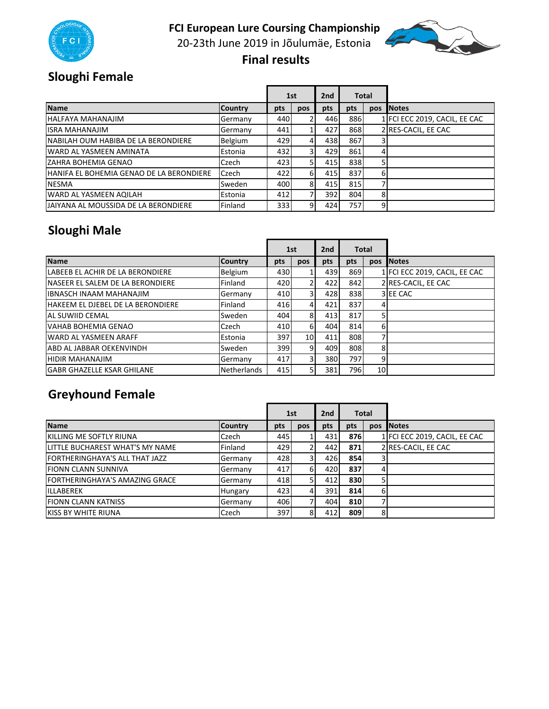

20‐23th June 2019 in Jõulumäe, Estonia



 **Final results** 

# **Sloughi Female**

|                                                 |                |              | 1st |      | 2nd<br><b>Total</b> |     |                               |
|-------------------------------------------------|----------------|--------------|-----|------|---------------------|-----|-------------------------------|
| <b>Name</b>                                     | <b>Country</b> | pts          | pos | pts  | pts                 | pos | <b>Notes</b>                  |
| <b>HALFAYA MAHANAJIM</b>                        | Germany        | 440          |     | 446  | 886                 |     | 1 FCI ECC 2019, CACIL, EE CAC |
| <b>IISRA MAHANAJIM</b>                          | Germany        | 441          |     | 427  | 868                 |     | 2 RES-CACIL, EE CAC           |
| INABILAH OUM HABIBA DE LA BERONDIERE            | <b>Belgium</b> | 429          | 4   | 438  | 867                 |     |                               |
| WARD AL YASMEEN AMINATA                         | Estonia        | 432 <b>1</b> |     | 429  | 861                 |     |                               |
| <b>ZAHRA BOHEMIA GENAO</b>                      | Czech          | 423          |     | 415  | 838                 |     |                               |
| <b>HANIFA EL BOHEMIA GENAO DE LA BERONDIERE</b> | Czech          | 422          | 6   | 415  | 837                 | 6   |                               |
| <b>NESMA</b>                                    | Sweden         | 400          | 8   | 415  | 815                 |     |                               |
| WARD AL YASMEEN AQILAH                          | Estonia        | 412          |     | 3921 | 804                 | 8   |                               |
| JAIYANA AL MOUSSIDA DE LA BERONDIERE            | Finland        | 333          | 91  | 424  | 757I                | 9   |                               |

## **Sloughi Male**

|                                          |                    |     | 1st             |     |     |                 | 2nd<br><b>Total</b>           |  |  |
|------------------------------------------|--------------------|-----|-----------------|-----|-----|-----------------|-------------------------------|--|--|
| <b>Name</b>                              | <b>Country</b>     | pts | pos             | pts | pts | <b>DOS</b>      | <b>Notes</b>                  |  |  |
| LABEEB EL ACHIR DE LA BERONDIERE         | Belgium            | 430 |                 | 439 | 869 |                 | 1 FCI ECC 2019, CACIL, EE CAC |  |  |
| NASEER EL SALEM DE LA BERONDIERE         | Finland            | 420 |                 | 422 | 842 |                 | 2 RES-CACIL, EE CAC           |  |  |
| <b>IBNASCH INAAM MAHANAJIM</b>           | Germany            | 410 | 31              | 428 | 838 |                 | 3 EE CAC                      |  |  |
| <b>HAKEEM EL DJEBEL DE LA BERONDIERE</b> | Finland            | 416 | $\overline{4}$  | 421 | 837 | 4               |                               |  |  |
| AL SUWIID CEMAL                          | Sweden             | 404 | 8               | 413 | 817 |                 |                               |  |  |
| VAHAB BOHEMIA GENAO                      | Czech              | 410 | 61              | 404 | 814 | 6               |                               |  |  |
| WARD AL YASMEEN ARAFF                    | Estonia            | 397 | 10 <sup>1</sup> | 411 | 808 | 7               |                               |  |  |
| ABD AL JABBAR OEKENVINDH                 | Sweden             | 399 | 9               | 409 | 808 | 8               |                               |  |  |
| <b>HIDIR MAHANAJIM</b>                   | Germany            | 417 |                 | 380 | 797 | 9               |                               |  |  |
| <b>IGABR GHAZELLE KSAR GHILANE</b>       | <b>Netherlands</b> | 415 | 51              | 381 | 796 | 10 <sup>1</sup> |                               |  |  |

# **Greyhound Female**

|                                       |                | 1st |     | 2nd |     | <b>Total</b> |                               |
|---------------------------------------|----------------|-----|-----|-----|-----|--------------|-------------------------------|
| <b>Name</b>                           | <b>Country</b> | pts | pos | pts | pts | pos          | <b>Notes</b>                  |
| <b>IKILLING ME SOFTLY RIUNA</b>       | Czech          | 445 |     | 431 | 876 |              | 1 FCI ECC 2019, CACIL, EE CAC |
| LITTLE BUCHAREST WHAT'S MY NAME       | Finland        | 429 |     | 442 | 871 |              | 2 RES-CACIL, EE CAC           |
| <b>FORTHERINGHAYA'S ALL THAT JAZZ</b> | Germany        | 428 | 31  | 426 | 854 |              |                               |
| <b>FIONN CLANN SUNNIVA</b>            | Germany        | 417 | 61  | 420 | 837 |              |                               |
| <b>FORTHERINGHAYA'S AMAZING GRACE</b> | Germany        | 418 |     | 412 | 830 |              |                               |
| <b>ILLABEREK</b>                      | <b>Hungary</b> | 423 | 4   | 391 | 814 | 6            |                               |
| <b>FIONN CLANN KATNISS</b>            | Germany        | 406 |     | 404 | 810 |              |                               |
| <b>KISS BY WHITE RIUNA</b>            | Czech          | 397 | 8   | 412 | 809 | 8            |                               |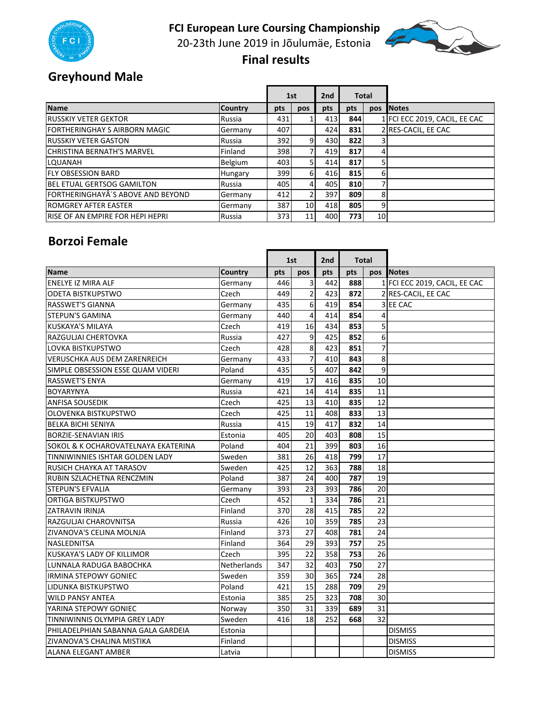



20‐23th June 2019 in Jõulumäe, Estonia

 **Final results** 

# **Greyhound Male**

|                                         |                | 1st              |                          | 2 <sub>nd</sub> |             | <b>Total</b>    |                               |
|-----------------------------------------|----------------|------------------|--------------------------|-----------------|-------------|-----------------|-------------------------------|
| <b>Name</b>                             | <b>Country</b> | pts              | pos                      | pts             | pts         | pos             | <b>INotes</b>                 |
| <b>RUSSKIY VETER GEKTOR</b>             | Russia         | 431              |                          | 413             | 844         |                 | 1 FCI ECC 2019, CACIL, EE CAC |
| <b>FORTHERINGHAY S AIRBORN MAGIC</b>    | Germany        | 407              |                          | 424             | <b>831</b>  |                 | 2 RES-CACIL, EE CAC           |
| <b>RUSSKIY VETER GASTON</b>             | Russia         | 392              | $\overline{9}$           | 430             | 822         |                 |                               |
| <b>CHRISTINA BERNATH'S MARVEL</b>       | Finland        | 398              | 71                       | 419             | 817         |                 |                               |
| <b>LOUANAH</b>                          | Belgium        | 403 <sub>l</sub> | 5 <sup>1</sup>           | 414             | 817         |                 |                               |
| <b>IFLY OBSESSION BARD</b>              | Hungary        | 399              | $6 \mid$                 | 416             | 815         | 6               |                               |
| <b>BEL ETUAL GERTSOG GAMILTON</b>       | Russia         | 405              | $\overline{4}$           | 405             | 810         |                 |                               |
| FORTHERINGHAYÂ'S ABOVE AND BEYOND       | Germany        | 412              | $\overline{\mathcal{L}}$ | 397             | 809         | 8               |                               |
| <b>IROMGREY AFTER EASTER</b>            | Germany        | 387              | 10 <sup>1</sup>          | 418             | 805         | 9               |                               |
| <b>RISE OF AN EMPIRE FOR HEPI HEPRI</b> | Russia         | 373              | 11                       | 400             | <b>7731</b> | 10 <sub>l</sub> |                               |

#### **Borzoi Female**

|                                     |                |     | 1st            | 2nd | Total |                |                               |
|-------------------------------------|----------------|-----|----------------|-----|-------|----------------|-------------------------------|
| <b>Name</b>                         | <b>Country</b> | pts | pos            | pts | pts   | <b>pos</b>     | <b>Notes</b>                  |
| ENELYE IZ MIRA ALF                  | Germany        | 446 | $\overline{3}$ | 442 | 888   |                | 1 FCI ECC 2019, CACIL, EE CAC |
| <b>ODETA BISTKUPSTWO</b>            | Czech          | 449 | $\overline{2}$ | 423 | 872   |                | 2 RES-CACIL, EE CAC           |
| RASSWET'S GIANNA                    | Germany        | 435 | 6              | 419 | 854   |                | 3 EE CAC                      |
| <b>STEPUN'S GAMINA</b>              | Germany        | 440 | $\overline{4}$ | 414 | 854   | 4              |                               |
| <b>KUSKAYA'S MILAYA</b>             | Czech          | 419 | 16             | 434 | 853   | 5              |                               |
| RAZGULJAI CHERTOVKA                 | Russia         | 427 | 9              | 425 | 852   | $6 \mid$       |                               |
| LOVKA BISTKUPSTWO                   | Czech          | 428 | 8              | 423 | 851   | $\overline{7}$ |                               |
| <b>VERUSCHKA AUS DEM ZARENREICH</b> | Germany        | 433 | $\overline{7}$ | 410 | 843   | 8              |                               |
| SIMPLE OBSESSION ESSE QUAM VIDERI   | Poland         | 435 | 5              | 407 | 842   | 9              |                               |
| <b>RASSWET'S ENYA</b>               | Germany        | 419 | 17             | 416 | 835   | 10             |                               |
| <b>BOYARYNYA</b>                    | Russia         | 421 | 14             | 414 | 835   | 11             |                               |
| <b>ANFISA SOUSEDIK</b>              | Czech          | 425 | 13             | 410 | 835   | 12             |                               |
| <b>OLOVENKA BISTKUPSTWO</b>         | Czech          | 425 | 11             | 408 | 833   | 13             |                               |
| <b>BELKA BICHI SENIYA</b>           | Russia         | 415 | 19             | 417 | 832   | 14             |                               |
| <b>BORZIE-SENAVIAN IRIS</b>         | Estonia        | 405 | 20             | 403 | 808   | 15             |                               |
| SOKOL & K OCHAROVATELNAYA EKATERINA | Poland         | 404 | 21             | 399 | 803   | 16             |                               |
| TINNIWINNIES ISHTAR GOLDEN LADY     | Sweden         | 381 | 26             | 418 | 799   | 17             |                               |
| RUSICH CHAYKA AT TARASOV            | Sweden         | 425 | 12             | 363 | 788   | 18             |                               |
| RUBIN SZLACHETNA RENCZMIN           | Poland         | 387 | 24             | 400 | 787   | 19             |                               |
| <b>STEPUN'S EFVALIA</b>             | Germany        | 393 | 23             | 393 | 786   | 20             |                               |
| <b>ORTIGA BISTKUPSTWO</b>           | Czech          | 452 | $\mathbf{1}$   | 334 | 786   | 21             |                               |
| <b>ZATRAVIN IRINJA</b>              | Finland        | 370 | 28             | 415 | 785   | 22             |                               |
| RAZGULJAI CHAROVNITSA               | Russia         | 426 | 10             | 359 | 785   | 23             |                               |
| ZIVANOVA'S CELINA MOLNJA            | Finland        | 373 | 27             | 408 | 781   | 24             |                               |
| <b>NASLEDNITSA</b>                  | Finland        | 364 | 29             | 393 | 757   | 25             |                               |
| <b>KUSKAYA'S LADY OF KILLIMOR</b>   | Czech          | 395 | 22             | 358 | 753   | 26             |                               |
| LUNNALA RADUGA BABOCHKA             | Netherlands    | 347 | 32             | 403 | 750   | 27             |                               |
| <b>IRMINA STEPOWY GONIEC</b>        | Sweden         | 359 | 30             | 365 | 724   | 28             |                               |
| LIDUNKA BISTKUPSTWO                 | Poland         | 421 | 15             | 288 | 709   | 29             |                               |
| <b>WILD PANSY ANTEA</b>             | Estonia        | 385 | 25             | 323 | 708   | 30             |                               |
| YARINA STEPOWY GONIEC               | Norway         | 350 | 31             | 339 | 689   | 31             |                               |
| TINNIWINNIS OLYMPIA GREY LADY       | Sweden         | 416 | 18             | 252 | 668   | 32             |                               |
| PHILADELPHIAN SABANNA GALA GARDEIA  | Estonia        |     |                |     |       |                | <b>DISMISS</b>                |
| ZIVANOVA'S CHALINA MISTIKA          | Finland        |     |                |     |       |                | <b>DISMISS</b>                |
| <b>ALANA ELEGANT AMBER</b>          | Latvia         |     |                |     |       |                | <b>DISMISS</b>                |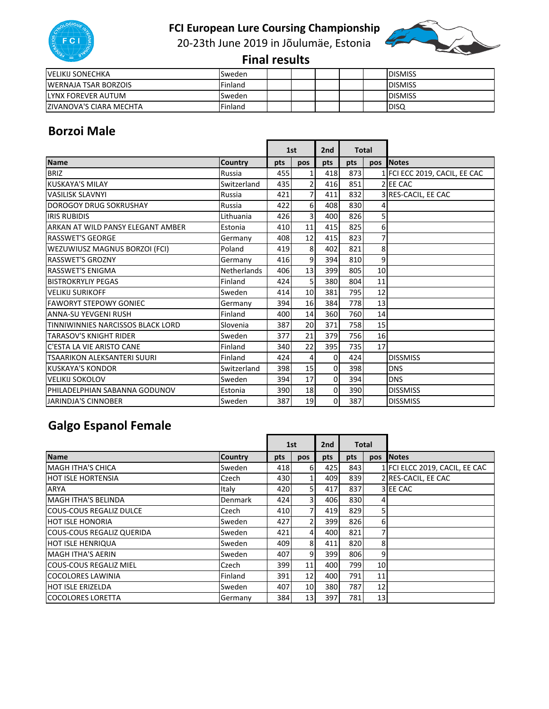

20‐23th June 2019 in Jõulumäe, Estonia



 **Final results** 

| <b>VELIKIJ SONECHKA</b>        | Sweden  |  |  | <b>IDISMISS</b> |
|--------------------------------|---------|--|--|-----------------|
| WERNAJA TSAR BORZOIS           | Finland |  |  | <b>DISMISS</b>  |
| llynx forever autum            | Sweden  |  |  | <b>DISMISS</b>  |
| <b>ZIVANOVA'S CIARA MECHTA</b> | Finland |  |  | <b>IDISQ</b>    |

#### **Borzoi Male**

|                                   |                    |     | 1st            |             | <b>Total</b> |                |                               |
|-----------------------------------|--------------------|-----|----------------|-------------|--------------|----------------|-------------------------------|
| <b>Name</b>                       | <b>Country</b>     | pts | <b>pos</b>     | pts         | pts          |                | pos Notes                     |
| <b>BRIZ</b>                       | Russia             | 455 | $1\vert$       | 418         | 873          |                | 1 FCI ECC 2019, CACIL, EE CAC |
| <b>KUSKAYA'S MILAY</b>            | Switzerland        | 435 | $\overline{2}$ | 416         | 851          |                | 2 EE CAC                      |
| <b>VASILISK SLAVNYI</b>           | Russia             | 421 | $\overline{7}$ | 411         | 832          |                | 3 RES-CACIL, EE CAC           |
| <b>DOROGOY DRUG SOKRUSHAY</b>     | Russia             | 422 | $6 \mid$       | 408         | 830          | 4              |                               |
| <b>IRIS RUBIDIS</b>               | Lithuania          | 426 | 3l             | 400         | 826          | 5 <sup>1</sup> |                               |
| ARKAN AT WILD PANSY ELEGANT AMBER | Estonia            | 410 | 11             | 415         | 825          | $6 \mid$       |                               |
| <b>RASSWET'S GEORGE</b>           | Germany            | 408 | 12             | 415         | 823          | $\overline{7}$ |                               |
| WEZUWIUSZ MAGNUS BORZOI (FCI)     | Poland             | 419 | 8              | 402         | 821          | 8              |                               |
| <b>RASSWET'S GROZNY</b>           | Germany            | 416 | 9              | 394         | 810          | $\overline{9}$ |                               |
| <b>RASSWET'S ENIGMA</b>           | <b>Netherlands</b> | 406 | 13             | 399         | 805          | 10             |                               |
| <b>BISTROKRYLIY PEGAS</b>         | Finland            | 424 | 5 <sub>l</sub> | 380         | 804          | 11             |                               |
| <b>VELIKIJ SURIKOFF</b>           | Sweden             | 414 | 10             | 381         | 795          | 12             |                               |
| <b>FAWORYT STEPOWY GONIEC</b>     | Germany            | 394 | 16             | 384         | 778          | 13             |                               |
| <b>ANNA-SU YEVGENI RUSH</b>       | Finland            | 400 | 14             | 360         | 760          | 14             |                               |
| TINNIWINNIES NARCISSOS BLACK LORD | Slovenia           | 387 | 20             | 371         | 758          | 15             |                               |
| <b>TARASOV'S KNIGHT RIDER</b>     | Sweden             | 377 | 21             | 379         | 756          | 16             |                               |
| C'ESTA LA VIE ARISTO CANE         | Finland            | 340 | 22             | 395         | 735          | 17             |                               |
| TSAARIKON ALEKSANTERI SUURI       | Finland            | 424 | $\overline{4}$ | 0           | 424          |                | <b>DISSMISS</b>               |
| <b>KUSKAYA'S KONDOR</b>           | Switzerland        | 398 | 15             | $\Omega$    | 398          |                | <b>DNS</b>                    |
| <b>VELIKIJ SOKOLOV</b>            | Sweden             | 394 | 17             | $\mathbf 0$ | 394          |                | <b>DNS</b>                    |
| PHILADELPHIAN SABANNA GODUNOV     | Estonia            | 390 | 18             | $\Omega$    | 390          |                | <b>DISSMISS</b>               |
| <b>JARINDJA'S CINNOBER</b>        | Sweden             | 387 | 19             | $\Omega$    | 387          |                | <b>DISSMISS</b>               |

# **Galgo Espanol Female**

|                                  |                |     | 1st             |     | 2 <sub>nd</sub><br><b>Total</b> |                 |                                |
|----------------------------------|----------------|-----|-----------------|-----|---------------------------------|-----------------|--------------------------------|
| Name                             | <b>Country</b> | pts | pos             | pts | pts                             | <b>pos</b>      | <b>Notes</b>                   |
| MAGH ITHA'S CHICA                | Sweden         | 418 | 61              | 425 | 843                             |                 | 1 FCI ELCC 2019, CACIL, EE CAC |
| <b>HOT ISLE HORTENSIA</b>        | Czech          | 430 |                 | 409 | 839                             |                 | 2 RES-CACIL, EE CAC            |
| <b>ARYA</b>                      | Italy          | 420 | 5 <sub>l</sub>  | 417 | 837                             |                 | 3 EE CAC                       |
| MAGH ITHA'S BELINDA              | Denmark        | 424 | 31              | 406 | 830                             | 41              |                                |
| <b>COUS-COUS REGALIZ DULCE</b>   | Czech          | 410 | 7               | 419 | 829                             | 5 <sub>l</sub>  |                                |
| <b>HOT ISLE HONORIA</b>          | Sweden         | 427 | $\overline{2}$  | 399 | 826                             | 6               |                                |
| <b>COUS-COUS REGALIZ QUERIDA</b> | Sweden         | 421 | 41              | 400 | 821                             | 7               |                                |
| <b>HOT ISLE HENRIQUA</b>         | Sweden         | 409 | 8 <sup>1</sup>  | 411 | 820                             | 8               |                                |
| <b>MAGH ITHA'S AERIN</b>         | Sweden         | 407 | 9               | 399 | 806                             | 9               |                                |
| <b>COUS-COUS REGALIZ MIEL</b>    | Czech          | 399 | 11              | 400 | 799                             | 10 <sup>1</sup> |                                |
| <b>COCOLORES LAWINIA</b>         | Finland        | 391 | 12              | 400 | 791                             | 11              |                                |
| <b>HOT ISLE ERIZELDA</b>         | Sweden         | 407 | 10 <sup>1</sup> | 380 | 787                             | 12 <sup>1</sup> |                                |
| <b>COCOLORES LORETTA</b>         | Germany        | 384 | 13              | 397 | <b>781</b>                      | 13              |                                |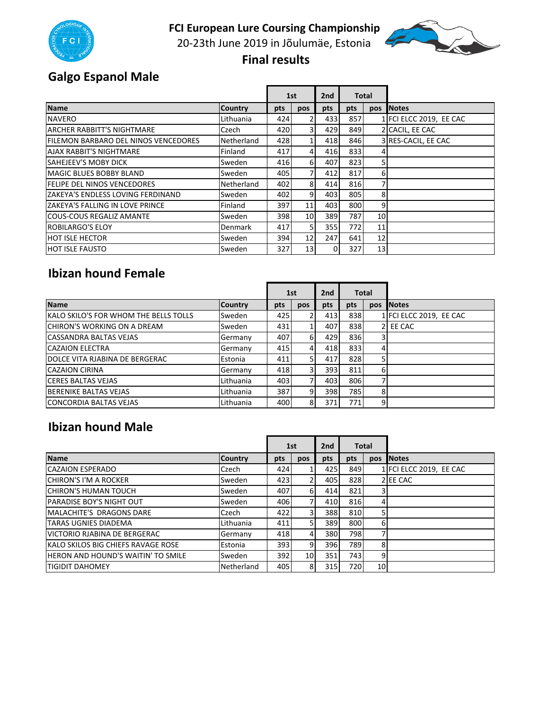

20‐23th June 2019 in Jõulumäe, Estonia



#### **Final results**

r.

## **Galgo Espanol Male**

|                                             |                |     | 1st             | 2 <sub>nd</sub> |      | <b>Total</b>    |                         |
|---------------------------------------------|----------------|-----|-----------------|-----------------|------|-----------------|-------------------------|
| Name                                        | <b>Country</b> | pts | pos             | pts             | pts  | pos             | <b>INotes</b>           |
| <b>NAVERO</b>                               | Lithuania      | 424 | 2               | 433             | 857  |                 | 1 FCI ELCC 2019, EE CAC |
| <b>ARCHER RABBITT'S NIGHTMARE</b>           | Czech          | 420 | 31              | 429             | 849  |                 | 2 CACIL, EE CAC         |
| <b>FILEMON BARBARO DEL NINOS VENCEDORES</b> | Netherland     | 428 |                 | 418             | 846  |                 | 3 RES-CACIL, EE CAC     |
| <b>AJAX RABBIT'S NIGHTMARE</b>              | Finland        | 417 | $\overline{4}$  | 416             | 833  | 41              |                         |
| SAHEJEEV'S MOBY DICK                        | Sweden         | 416 | $6 \mid$        | 407             | 823  | 5               |                         |
| <b>MAGIC BLUES BOBBY BLAND</b>              | Sweden         | 405 | 7               | 412             | 817  | 6               |                         |
| <b>FELIPE DEL NINOS VENCEDORES</b>          | Netherland     | 402 | 8 <sup>l</sup>  | 414             | 816  | 7               |                         |
| ZAKEYA'S ENDLESS LOVING FERDINAND           | Sweden         | 402 | 9               | 403             | 805  | 8               |                         |
| IZAKEYA'S FALLING IN LOVE PRINCE            | Finland        | 397 | 11              | 403             | 800  | 9               |                         |
| <b>COUS-COUS REGALIZ AMANTE</b>             | Sweden         | 398 | 10 <sup>1</sup> | 389             | 787  | 10 <sup>1</sup> |                         |
| <b>ROBILARGO'S ELOY</b>                     | <b>Denmark</b> | 417 | 5 <sub>l</sub>  | 355             | 772I | 11              |                         |
| <b>HOT ISLE HECTOR</b>                      | Sweden         | 394 | 12 <sup>1</sup> | 247             | 641  | 12              |                         |
| <b>HOT ISLE FAUSTO</b>                      | Sweden         | 327 | 13 <sup>1</sup> | 0               | 327  | 13              |                         |

#### **Ibizan hound Female**

|                                       |                |     | 1st |     | 2nd<br><b>Total</b> |                |                         |
|---------------------------------------|----------------|-----|-----|-----|---------------------|----------------|-------------------------|
| <b>Name</b>                           | <b>Country</b> | pts | pos | pts | pts                 | pos            | <b>Notes</b>            |
| KALO SKILO'S FOR WHOM THE BELLS TOLLS | Sweden         | 425 |     | 413 | 838                 |                | 1 FCI ELCC 2019, EE CAC |
| <b>ICHIRON'S WORKING ON A DREAM</b>   | Sweden         | 431 |     | 407 | 838                 |                | 2 EE CAC                |
| <b>CASSANDRA BALTAS VEJAS</b>         | Germany        | 407 | 61  | 429 | 836                 | 31             |                         |
| <b>CAZAION ELECTRA</b>                | Germany        | 415 | 41  | 418 | 833                 | 41             |                         |
| DOLCE VITA RJABINA DE BERGERAC        | Estonia        | 411 |     | 417 | 828                 |                |                         |
| <b>CAZAION CIRINA</b>                 | Germany        | 418 | 31  | 393 | 811                 | 61             |                         |
| <b>CERES BALTAS VEJAS</b>             | Lithuania      | 403 |     | 403 | 806                 | 7              |                         |
| <b>BERENIKE BALTAS VEJAS</b>          | Lithuania      | 387 | 9   | 398 | 785                 | 8              |                         |
| <b>CONCORDIA BALTAS VEJAS</b>         | Lithuania      | 400 | 8   | 371 | <b>771</b>          | $\overline{9}$ |                         |

#### **Ibizan hound Male**

|                                            |                | 1st |                 | <b>Total</b><br>2nd |      |                 |                         |
|--------------------------------------------|----------------|-----|-----------------|---------------------|------|-----------------|-------------------------|
| <b>Name</b>                                | <b>Country</b> | pts | pos             | pts                 | pts  | pos             | <b>INotes</b>           |
| <b>CAZAION ESPERADO</b>                    | Czech          | 424 |                 | 425                 | 8491 |                 | 1 FCI ELCC 2019, EE CAC |
| <b>CHIRON'S I'M A ROCKER</b>               | Sweden         | 423 | 21              | 405                 | 828  |                 | 2 EE CAC                |
| <b>CHIRON'S HUMAN TOUCH</b>                | Sweden         | 407 | 6 <sup>1</sup>  | 414                 | 821  |                 |                         |
| <b>PARADISE BOY'S NIGHT OUT</b>            | Sweden         | 406 | 71              | 410                 | 816  | 4               |                         |
| <b>MALACHITE'S DRAGONS DARE</b>            | Czech          | 422 | 31              | 388                 | 810  | 5               |                         |
| TARAS UGNIES DIADEMA                       | Lithuania      | 411 | 51              | 389                 | 800  | 6               |                         |
| VICTORIO RJABINA DE BERGERAC               | Germany        | 418 | $\overline{4}$  | 380                 | 798I |                 |                         |
| <b>IKALO SKILOS BIG CHIEFS RAVAGE ROSE</b> | Estonia        | 393 | $\overline{9}$  | 396                 | 789  | 8               |                         |
| <b>HERON AND HOUND'S WAITIN' TO SMILE</b>  | Sweden         | 392 | 10 <sup>1</sup> | 351                 | 743I | 9               |                         |
| <b>TIGIDIT DAHOMEY</b>                     | Netherland     | 405 | 8               | 315                 | 720I | 10 <sub>l</sub> |                         |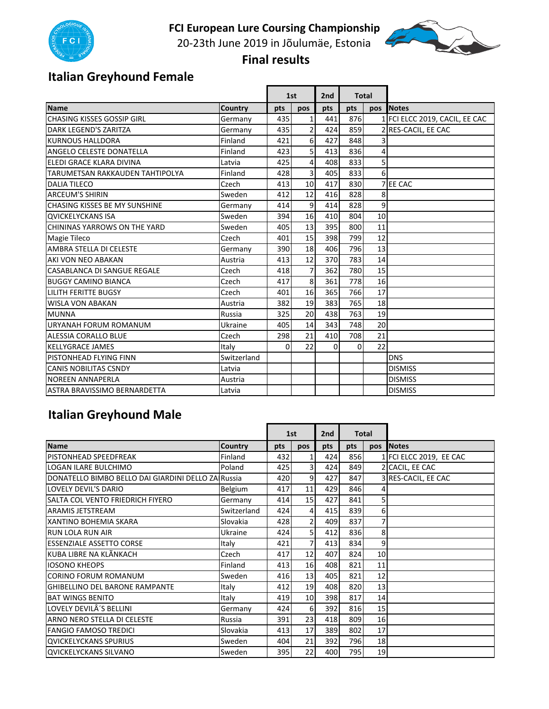

20‐23th June 2019 in Jõulumäe, Estonia



 **Final results** 

 $\blacksquare$ 

# **Italian Greyhound Female**

|                                        |                |          | 1st              | 2 <sub>nd</sub> |     | <b>Total</b>   |                                |
|----------------------------------------|----------------|----------|------------------|-----------------|-----|----------------|--------------------------------|
| Name                                   | <b>Country</b> | pts      | pos              | pts             | pts | pos            | <b>Notes</b>                   |
| <b>CHASING KISSES GOSSIP GIRL</b>      | Germany        | 435      | $\mathbf{1}$     | 441             | 876 |                | 1 FCI ELCC 2019, CACIL, EE CAC |
| DARK I FGFND'S ZARITZA                 | Germany        | 435      | $\overline{2}$   | 424             | 859 |                | RES-CACIL, EE CAC              |
| <b>KURNOUS HALLDORA</b>                | Finland        | 421      | $6 \overline{6}$ | 427             | 848 | 31             |                                |
| ANGELO CELESTE DONATELLA               | Finland        | 423      | 5 <sub>l</sub>   | 413             | 836 | 4              |                                |
| ELEDI GRACE KLARA DIVINA               | Latvia         | 425      | 4 <sup>1</sup>   | 408             | 833 | 5              |                                |
| <b>TARUMETSAN RAKKAUDEN TAHTIPOLYA</b> | Finland        | 428      | $\overline{3}$   | 405             | 833 | 6 <sup>1</sup> |                                |
| <b>DALIA TILECO</b>                    | Czech          | 413      | 10               | 417             | 830 |                | <b>EE CAC</b>                  |
| <b>ARCEUM'S SHIRIN</b>                 | Sweden         | 412      | 12               | 416             | 828 | 8 <sup>1</sup> |                                |
| <b>CHASING KISSES BE MY SUNSHINE</b>   | Germany        | 414      | 9                | 414             | 828 | 9              |                                |
| <b>QVICKELYCKANS ISA</b>               | Sweden         | 394      | 16               | 410             | 804 | 10             |                                |
| CHININAS YARROWS ON THE YARD           | Sweden         | 405      | 13               | 395             | 800 | 11             |                                |
| <b>Magie Tileco</b>                    | Czech          | 401      | 15               | 398             | 799 | 12             |                                |
| AMBRA STELLA DI CELESTE                | Germany        | 390      | 18               | 406             | 796 | 13             |                                |
| AKI VON NEO ABAKAN                     | Austria        | 413      | 12               | 370             | 783 | 14             |                                |
| <b>CASABLANCA DI SANGUE REGALE</b>     | Czech          | 418      | $\overline{7}$   | 362             | 780 | 15             |                                |
| <b>BUGGY CAMINO BIANCA</b>             | Czech          | 417      | 8 <sup>1</sup>   | 361             | 778 | 16             |                                |
| <b>LILITH FERITTE BUGSY</b>            | Czech          | 401      | 16               | 365             | 766 | 17             |                                |
| <b>WISLA VON ABAKAN</b>                | Austria        | 382      | 19               | 383             | 765 | 18             |                                |
| <b>MUNNA</b>                           | Russia         | 325      | 20               | 438             | 763 | 19             |                                |
| URYANAH FORUM ROMANUM                  | Ukraine        | 405      | 14               | 343             | 748 | 20             |                                |
| <b>ALESSIA CORALLO BLUE</b>            | Czech          | 298      | 21               | 410             | 708 | 21             |                                |
| <b>KELLYGRACE JAMES</b>                | Italy          | $\Omega$ | 22               | $\Omega$        | 0   | 22             |                                |
| PISTONHEAD FLYING FINN                 | Switzerland    |          |                  |                 |     |                | <b>DNS</b>                     |
| <b>CANIS NOBILITAS CSNDY</b>           | Latvia         |          |                  |                 |     |                | <b>DISMISS</b>                 |
| <b>NOREEN ANNAPERLA</b>                | Austria        |          |                  |                 |     |                | <b>DISMISS</b>                 |
| ASTRA BRAVISSIMO BERNARDETTA           | Latvia         |          |                  |                 |     |                | <b>DISMISS</b>                 |

# **Italian Greyhound Male**

|                                                    |                |              | 1st             |     | <b>Total</b><br>2 <sub>nd</sub> |            |                         |
|----------------------------------------------------|----------------|--------------|-----------------|-----|---------------------------------|------------|-------------------------|
| <b>Name</b>                                        | <b>Country</b> | pts          | <b>DOS</b>      | pts | pts                             | <b>DOS</b> | <b>Notes</b>            |
| <b>IPISTONHEAD SPEEDFREAK</b>                      | Finland        | 432          | 1               | 424 | 856                             |            | 1 FCI ELCC 2019, EE CAC |
| LOGAN ILARE BULCHIMO                               | Poland         | 425          | $\overline{3}$  | 424 | 849                             |            | 2 CACIL, EE CAC         |
| DONATELLO BIMBO BELLO DAI GIARDINI DELLO ZAIRussia |                | 420          | 9               | 427 | 847                             |            | 3 RES-CACIL, EE CAC     |
| LOVELY DEVIL'S DARIO                               | Belgium        | 417          | 11              | 429 | 846                             |            |                         |
| SALTA COL VENTO FRIEDRICH FIYERO                   | Germany        | 414          | 15              | 427 | 841                             | 5          |                         |
| <b>ARAMIS JETSTREAM</b>                            | Switzerland    | 424          | $\overline{4}$  | 415 | 839                             | 6          |                         |
| XANTINO BOHEMIA SKARA                              | Slovakia       | 428          | $\overline{2}$  | 409 | 837                             | 7          |                         |
| <b>RUN LOLA RUN AIR</b>                            | Ukraine        | 424          | 5 <sub>l</sub>  | 412 | 836                             | 8          |                         |
| <b>ESSENZIALE ASSETTO CORSE</b>                    | Italy          | 421          | 7               | 413 | 834                             | 9          |                         |
| KUBA LIBRE NA KLÃNKACH                             | Czech          | 417          | 12              | 407 | 824                             | 10         |                         |
| <b>IOSONO KHEOPS</b>                               | Finland        | 413          | 16              | 408 | 821                             | 11         |                         |
| <b>CORINO FORUM ROMANUM</b>                        | Sweden         | 416          | 13              | 405 | 821                             | 12         |                         |
| <b>I</b> GHIBELLINO DEL BARONE RAMPANTE            | Italy          | 412          | 19              | 408 | 820                             | 13         |                         |
| <b>BAT WINGS BENITO</b>                            | Italy          | 419          | 10 <sup>1</sup> | 398 | 817                             | 14         |                         |
| LOVELY DEVILÂ'S BELLINI                            | Germany        | 424          | $6 \mid$        | 392 | 816                             | 15         |                         |
| ARNO NERO STELLA DI CELESTE                        | Russia         | 391          | 23              | 418 | 809                             | 16         |                         |
| <b>FANGIO FAMOSO TREDICI</b>                       | Slovakia       | 413          | 17              | 389 | 802                             | 17         |                         |
| <b>QVICKELYCKANS SPURIUS</b>                       | Sweden         | 404          | 21              | 392 | 796                             | 18         |                         |
| <b>QVICKELYCKANS SILVANO</b>                       | Sweden         | 395 <b>I</b> | 22              | 400 | 795l                            | 19         |                         |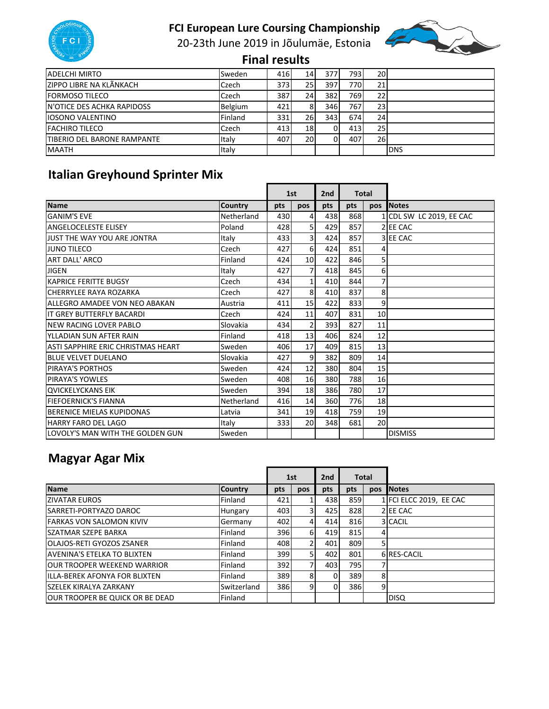

20‐23th June 2019 in Jõulumäe, Estonia



 **Final results** 

| <b>ADELCHI MIRTO</b>               | Sweden         | 416 | 14              | 377 | 7931 | <b>20</b>       |            |
|------------------------------------|----------------|-----|-----------------|-----|------|-----------------|------------|
| ZIPPO LIBRE NA KLÃNKACH            | Czech          | 373 | 25              | 397 | 770  | 21              |            |
| <b>IFORMOSO TILECO</b>             | Czech          | 387 | 24              | 382 | 769l | 221             |            |
| <b>IN'OTICE DES ACHKA RAPIDOSS</b> | <b>Belgium</b> | 421 | 8               | 346 | 767I | 23              |            |
| <b>IOSONO VALENTINO</b>            | Finland        | 331 | 26I             | 343 | 674  | 24              |            |
| <b>FACHIRO TILECO</b>              | Czech          | 413 | 18 <sup>l</sup> | 01  | 413  | 25 <sub>l</sub> |            |
| <b>TIBERIO DEL BARONE RAMPANTE</b> | Italy          | 407 | <b>20</b>       | ΩI  | 407  | 26              |            |
| <b>MAATH</b>                       | Italy          |     |                 |     |      |                 | <b>DNS</b> |

# **Italian Greyhound Sprinter Mix**

|                                           |                | 1st |                |     |     | 2 <sub>nd</sub> | <b>Total</b>             |  |  |
|-------------------------------------------|----------------|-----|----------------|-----|-----|-----------------|--------------------------|--|--|
| <b>Name</b>                               | <b>Country</b> | pts | pos            | pts | pts |                 | pos Notes                |  |  |
| <b>GANIM'S EVE</b>                        | Netherland     | 430 | $\overline{4}$ | 438 | 868 |                 | 1 CDL SW LC 2019, EE CAC |  |  |
| <b>ANGELOCELESTE ELISEY</b>               | Poland         | 428 | 5 <sub>l</sub> | 429 | 857 |                 | 2 EE CAC                 |  |  |
| JUST THE WAY YOU ARE JONTRA               | Italy          | 433 | $\overline{3}$ | 424 | 857 |                 | 3 EE CAC                 |  |  |
| <b>JUNO TILECO</b>                        | Czech          | 427 | $6 \mid$       | 424 | 851 | 4               |                          |  |  |
| <b>ART DALL' ARCO</b>                     | Finland        | 424 | 10             | 422 | 846 | $\mathsf{S}$    |                          |  |  |
| <b>JIGEN</b>                              | Italy          | 427 | $\overline{7}$ | 418 | 845 | $6 \mid$        |                          |  |  |
| <b>KAPRICE FERITTE BUGSY</b>              | Czech          | 434 | 1 <sup>1</sup> | 410 | 844 | $\overline{7}$  |                          |  |  |
| <b>CHERRYLEE RAYA ROZARKA</b>             | Czech          | 427 | 8 <sup>1</sup> | 410 | 837 | 8               |                          |  |  |
| ALLEGRO AMADEE VON NEO ABAKAN             | Austria        | 411 | 15             | 422 | 833 | $\overline{9}$  |                          |  |  |
| IT GREY BUTTERFLY BACARDI                 | Czech          | 424 | 11             | 407 | 831 | 10              |                          |  |  |
| <b>INEW RACING LOVER PABLO</b>            | Slovakia       | 434 | $\overline{2}$ | 393 | 827 | 11              |                          |  |  |
| YLLADIAN SUN AFTER RAIN                   | Finland        | 418 | 13             | 406 | 824 | 12              |                          |  |  |
| <b>ASTI SAPPHIRE ERIC CHRISTMAS HEART</b> | Sweden         | 406 | 17             | 409 | 815 | 13              |                          |  |  |
| <b>BLUE VELVET DUELANO</b>                | Slovakia       | 427 | $\overline{9}$ | 382 | 809 | 14              |                          |  |  |
| PIRAYA'S PORTHOS                          | Sweden         | 424 | 12             | 380 | 804 | 15              |                          |  |  |
| <b>PIRAYA'S YOWLES</b>                    | Sweden         | 408 | 16             | 380 | 788 | 16              |                          |  |  |
| <b>QVICKELYCKANS EIK</b>                  | Sweden         | 394 | 18             | 386 | 780 | 17              |                          |  |  |
| <b>FIEFOERNICK'S FIANNA</b>               | Netherland     | 416 | 14             | 360 | 776 | 18              |                          |  |  |
| <b>BERENICE MIELAS KUPIDONAS</b>          | Latvia         | 341 | 19             | 418 | 759 | 19              |                          |  |  |
| <b>HARRY FARO DEL LAGO</b>                | Italy          | 333 | 20             | 348 | 681 | 20              |                          |  |  |
| LOVOLY'S MAN WITH THE GOLDEN GUN          | Sweden         |     |                |     |     |                 | <b>DISMISS</b>           |  |  |

# **Magyar Agar Mix**

|                                         |                |     | 1st |          |     |                | 2nd<br><b>Total</b>     |  |  |
|-----------------------------------------|----------------|-----|-----|----------|-----|----------------|-------------------------|--|--|
| <b>Name</b>                             | <b>Country</b> | pts | pos | pts      | pts | <b>pos</b>     | <b>Notes</b>            |  |  |
| <b>ZIVATAR EUROS</b>                    | Finland        | 421 |     | 438      | 859 |                | 1 FCI ELCC 2019, EE CAC |  |  |
| SARRETI-PORTYAZO DAROC                  | Hungary        | 403 | 3   | 425      | 828 |                | 2 EE CAC                |  |  |
| <b>FARKAS VON SALOMON KIVIV</b>         | Germany        | 402 |     | 414      | 816 |                | 3 CACIL                 |  |  |
| <b>SZATMAR SZEPE BARKA</b>              | Finland        | 396 | 61  | 419      | 815 | 4              |                         |  |  |
| <b>OLAJOS-RETI GYOZOS ZSANER</b>        | Finland        | 408 |     | 401      | 809 | $\overline{5}$ |                         |  |  |
| <b>AVENINA'S ETELKA TO BLIXTEN</b>      | Finland        | 399 |     | 402      | 801 |                | 6 RES-CACIL             |  |  |
| <b>JOUR TROOPER WEEKEND WARRIOR</b>     | Finland        | 392 |     | 403      | 795 |                |                         |  |  |
| IILLA-BEREK AFONYA FOR BLIXTEN          | Finland        | 389 | 8   | $\Omega$ | 389 | 8              |                         |  |  |
| <b>SZELEK KIRALYA ZARKANY</b>           | Switzerland    | 386 | 9   | $\Omega$ | 386 | 9              |                         |  |  |
| <b>JOUR TROOPER BE QUICK OR BE DEAD</b> | Finland        |     |     |          |     |                | <b>DISQ</b>             |  |  |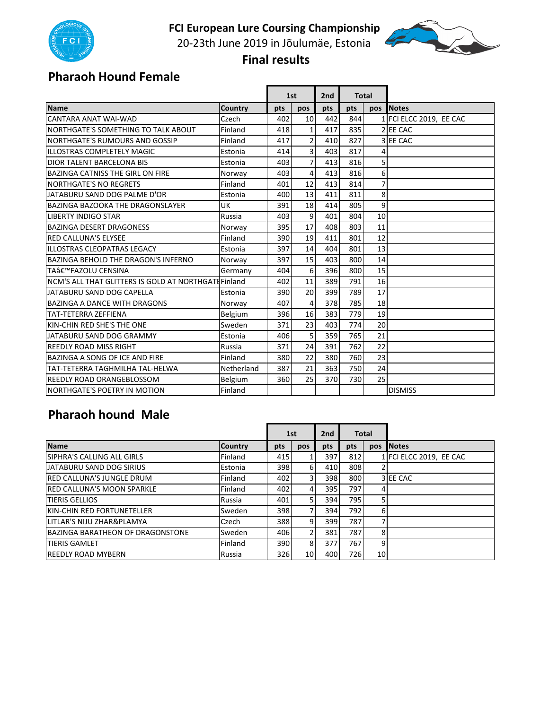

20-23th June 2019 in Jõulumäe, Estonia



 **Final results** 

#### **Pharaoh Hound Female**

|                                                     |            | 1st |                | 2 <sub>nd</sub> |     | <b>Total</b> |                         |
|-----------------------------------------------------|------------|-----|----------------|-----------------|-----|--------------|-------------------------|
| Name                                                | Country    | pts | pos            | pts             | pts | <b>pos</b>   | <b>Notes</b>            |
| CANTARA ANAT WAI-WAD                                | Czech      | 402 | 10             | 442             | 844 |              | 1 FCI ELCC 2019, EE CAC |
| NORTHGATE'S SOMETHING TO TALK ABOUT                 | Finland    | 418 | 1 <sup>1</sup> | 417             | 835 |              | 2 EE CAC                |
| NORTHGATE'S RUMOURS AND GOSSIP                      | Finland    | 417 | $\overline{2}$ | 410             | 827 |              | 3 EE CAC                |
| ILLOSTRAS COMPLETELY MAGIC                          | Estonia    | 414 | $\overline{3}$ | 403             | 817 | 4            |                         |
| <b>DIOR TALENT BARCELONA BIS</b>                    | Estonia    | 403 | $\overline{7}$ | 413             | 816 | 5            |                         |
| <b>BAZINGA CATNISS THE GIRL ON FIRE</b>             | Norway     | 403 | $\overline{4}$ | 413             | 816 | $6 \mid$     |                         |
| <b>NORTHGATE'S NO REGRETS</b>                       | Finland    | 401 | 12             | 413             | 814 | 7            |                         |
| JATABURU SAND DOG PALME D'OR                        | Estonia    | 400 | 13             | 411             | 811 | 8            |                         |
| <b>BAZINGA BAZOOKA THE DRAGONSLAYER</b>             | UK         | 391 | 18             | 414             | 805 | 9            |                         |
| <b>LIBERTY INDIGO STAR</b>                          | Russia     | 403 | 9              | 401             | 804 | 10           |                         |
| <b>BAZINGA DESERT DRAGONESS</b>                     | Norway     | 395 | 17             | 408             | 803 | 11           |                         |
| <b>RED CALLUNA'S ELYSEE</b>                         | Finland    | 390 | 19             | 411             | 801 | 12           |                         |
| ILLOSTRAS CLEOPATRAS LEGACY                         | Estonia    | 397 | 14             | 404             | 801 | 13           |                         |
| <b>BAZINGA BEHOLD THE DRAGON'S INFERNO</b>          | Norway     | 397 | 15             | 403             | 800 | 14           |                         |
| TA'FAZOLU CENSINA                                   | Germany    | 404 | $6 \mid$       | 396             | 800 | 15           |                         |
| NCM'S ALL THAT GLITTERS IS GOLD AT NORTHGATHFinland |            | 402 | 11             | 389             | 791 | 16           |                         |
| JATABURU SAND DOG CAPELLA                           | Estonia    | 390 | 20             | 399             | 789 | 17           |                         |
| <b>BAZINGA A DANCE WITH DRAGONS</b>                 | Norway     | 407 | $\overline{4}$ | 378             | 785 | 18           |                         |
| <b>TAT-TETERRA ZEFFIENA</b>                         | Belgium    | 396 | 16             | 383             | 779 | 19           |                         |
| KIN-CHIN RED SHE'S THE ONE                          | Sweden     | 371 | 23             | 403             | 774 | 20           |                         |
| JATABURU SAND DOG GRAMMY                            | Estonia    | 406 | $\mathsf{S}$   | 359             | 765 | 21           |                         |
| <b>REEDLY ROAD MISS RIGHT</b>                       | Russia     | 371 | 24             | 391             | 762 | 22           |                         |
| BAZINGA A SONG OF ICE AND FIRE                      | Finland    | 380 | 22             | 380             | 760 | 23           |                         |
| TAT-TETERRA TAGHMILHA TAL-HELWA                     | Netherland | 387 | 21             | 363             | 750 | 24           |                         |
| REEDLY ROAD ORANGEBLOSSOM                           | Belgium    | 360 | 25             | 370             | 730 | 25           |                         |
| NORTHGATE'S POETRY IN MOTION                        | Finland    |     |                |                 |     |              | <b>DISMISS</b>          |

#### **Pharaoh hound Male**

|                                           |                |      | 1st            |              | 2nd<br><b>Total</b> |     |                         |
|-------------------------------------------|----------------|------|----------------|--------------|---------------------|-----|-------------------------|
| <b>Name</b>                               | <b>Country</b> | pts  | pos            | pts          | pts                 | pos | <b>Notes</b>            |
| <b>ISIPHRA'S CALLING ALL GIRLS</b>        | Finland        | 415  |                | 397          | 812                 |     | 1 FCI ELCC 2019, EE CAC |
| <b>JATABURU SAND DOG SIRIUS</b>           | Estonia        | 398I | 6 <sup>1</sup> | 410          | 808                 |     |                         |
| <b>RED CALLUNA'S JUNGLE DRUM</b>          | Finland        | 402  | 31             | 398          | 800                 |     | 3 EE CAC                |
| <b>RED CALLUNA'S MOON SPARKLE</b>         | Finland        | 402  | $\overline{4}$ | 395 <b>I</b> | 797                 | 4   |                         |
| <b>TIERIS GELLIOS</b>                     | Russia         | 401  | 51             | 394          | 795                 | 5   |                         |
| <b>IKIN-CHIN RED FORTUNETELLER</b>        | Sweden         | 398  | 71             | 394          | 792I                | 6   |                         |
| LITLAR'S NIJU ZHAR&PLAMYA                 | Czech          | 388  | 9              | 399          | 787                 |     |                         |
| <b>I</b> BAZINGA BARATHEON OF DRAGONSTONE | Sweden         | 406  | $\overline{2}$ | 381          | 787                 | 8   |                         |
| <b>TIERIS GAMLET</b>                      | Finland        | 390  | 81             | 377I         | 767                 | 9   |                         |
| <b>REEDLY ROAD MYBERN</b>                 | Russia         | 326  | 10             | 400          | 726I                | 10  |                         |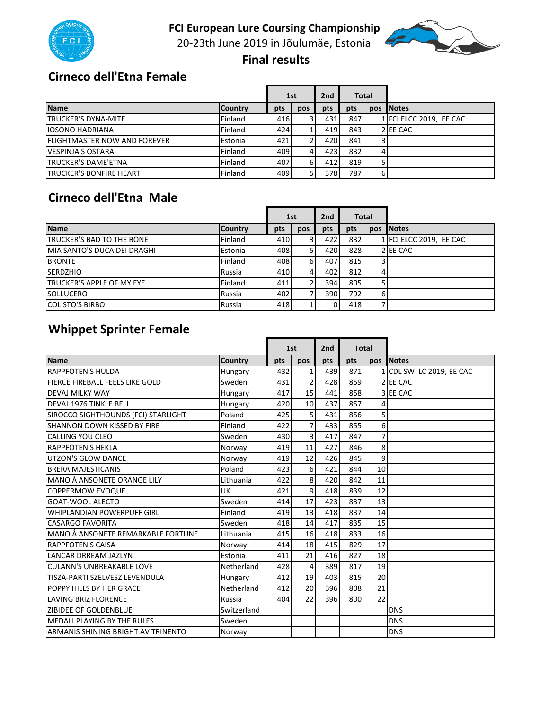

20‐23th June 2019 in Jõulumäe, Estonia



 **Final results** 

#### **Cirneco dell'Etna Female**

|                                      |                | 1st |     | <b>Total</b><br>2 <sub>nd</sub> |      |            |                         |
|--------------------------------------|----------------|-----|-----|---------------------------------|------|------------|-------------------------|
| <b>Name</b>                          | <b>Country</b> | pts | pos | pts                             | pts  | <b>DOS</b> | <b>Notes</b>            |
| <b>TRUCKER'S DYNA-MITE</b>           | Finland        | 416 |     | 4311                            | 847  |            | 1 FCI ELCC 2019, EE CAC |
| <b>IOSONO HADRIANA</b>               | Finland        | 424 |     | 419                             | 843  |            | 2 EE CAC                |
| <b>IFLIGHTMASTER NOW AND FOREVER</b> | Estonia        | 421 |     | 420                             | 841  | 3          |                         |
| <b>VESPINJA'S OSTARA</b>             | Finland        | 409 |     | 423                             | 832  |            |                         |
| <b>TRUCKER'S DAME'ETNA</b>           | Finland        | 407 | 61  | 412                             | 819  |            |                         |
| <b>TRUCKER'S BONFIRE HEART</b>       | Finland        | 409 |     | 3781                            | 7871 | 6          |                         |

#### **Cirneco dell'Etna Male**

|                                   |                | 1st |     | <b>Total</b><br>2nd |     |     |                         |
|-----------------------------------|----------------|-----|-----|---------------------|-----|-----|-------------------------|
| <b>Name</b>                       | <b>Country</b> | pts | pos | pts                 | pts | pos | <b>Notes</b>            |
| <b>ITRUCKER'S BAD TO THE BONE</b> | Finland        | 410 |     | 422                 | 832 |     | 1 FCI ELCC 2019, EE CAC |
| MIA SANTO'S DUCA DEI DRAGHI       | Estonia        | 408 |     | 420                 | 828 |     | 2 EE CAC                |
| <b>BRONTE</b>                     | Finland        | 408 | 61  | 407                 | 815 |     |                         |
| <b>ISERDZHIO</b>                  | Russia         | 410 | 41  | 402                 | 812 |     |                         |
| <b>TRUCKER'S APPLE OF MY EYE</b>  | Finland        | 411 |     | 394                 | 805 |     |                         |
| <b>SOLLUCERO</b>                  | Russia         | 402 |     | 390                 | 792 | 61  |                         |
| <b>COLISTO'S BIRBO</b>            | Russia         | 418 |     | 0                   | 418 |     |                         |

## **Whippet Sprinter Female**

|                                        |             |     | 1st              | 2 <sub>nd</sub> | <b>Total</b> |            |                          |
|----------------------------------------|-------------|-----|------------------|-----------------|--------------|------------|--------------------------|
| <b>Name</b>                            | Country     | pts | pos              | pts             | pts          | <b>pos</b> | <b>Notes</b>             |
| <b>RAPPFOTEN'S HULDA</b>               | Hungary     | 432 | $\mathbf{1}$     | 439             | 871          |            | 1 CDL SW LC 2019, EE CAC |
| <b>FIERCE FIREBALL FEELS LIKE GOLD</b> | Sweden      | 431 | $\overline{2}$   | 428             | 859          |            | 2 EE CAC                 |
| <b>DEVAJ MILKY WAY</b>                 | Hungary     | 417 | 15               | 441             | 858          |            | 3 EE CAC                 |
| DEVAJ 1976 TINKLE BELL                 | Hungary     | 420 | 10               | 437             | 857          | 4          |                          |
| SIROCCO SIGHTHOUNDS (FCI) STARLIGHT    | Poland      | 425 | 5                | 431             | 856          | 5          |                          |
| SHANNON DOWN KISSED BY FIRE            | Finland     | 422 | $\overline{7}$   | 433             | 855          | 6          |                          |
| CALLING YOU CLEO                       | Sweden      | 430 | $\overline{3}$   | 417             | 847          | 7          |                          |
| <b>RAPPFOTEN'S HEKLA</b>               | Norway      | 419 | 11               | 427             | 846          | 8          |                          |
| UTZON'S GLOW DANCE                     | Norway      | 419 | 12               | 426             | 845          | 9          |                          |
| <b>BRERA MAJESTICANIS</b>              | Poland      | 423 | 6                | 421             | 844          | 10         |                          |
| MANO Å ANSONETE ORANGE LILY            | Lithuania   | 422 | 8                | 420             | 842          | 11         |                          |
| <b>COPPERMOW EVOOUE</b>                | UK          | 421 | $\boldsymbol{9}$ | 418             | 839          | 12         |                          |
| GOAT-WOOL ALECTO                       | Sweden      | 414 | 17               | 423             | 837          | 13         |                          |
| <b>WHIPLANDIAN POWERPUFF GIRL</b>      | Finland     | 419 | 13               | 418             | 837          | 14         |                          |
| <b>CASARGO FAVORITA</b>                | Sweden      | 418 | 14               | 417             | 835          | 15         |                          |
| MANO Å ANSONETE REMARKABLE FORTUNE     | Lithuania   | 415 | 16               | 418             | 833          | 16         |                          |
| <b>RAPPFOTEN'S CAISA</b>               | Norway      | 414 | 18               | 415             | 829          | 17         |                          |
| <b>LANCAR DRREAM JAZLYN</b>            | Estonia     | 411 | 21               | 416             | 827          | 18         |                          |
| <b>CULANN'S UNBREAKABLE LOVE</b>       | Netherland  | 428 | 4                | 389             | 817          | 19         |                          |
| TISZA-PARTI SZELVESZ LEVENDULA         | Hungary     | 412 | 19               | 403             | 815          | 20         |                          |
| POPPY HILLS BY HER GRACE               | Netherland  | 412 | 20               | 396             | 808          | 21         |                          |
| <b>LAVING BRIZ FLORENCE</b>            | Russia      | 404 | 22               | 396             | 800          | 22         |                          |
| <b>ZIBIDEE OF GOLDENBLUE</b>           | Switzerland |     |                  |                 |              |            | <b>DNS</b>               |
| <b>MEDALI PLAYING BY THE RULES</b>     | Sweden      |     |                  |                 |              |            | <b>DNS</b>               |
| ARMANIS SHINING BRIGHT AV TRINENTO     | Norway      |     |                  |                 |              |            | <b>DNS</b>               |